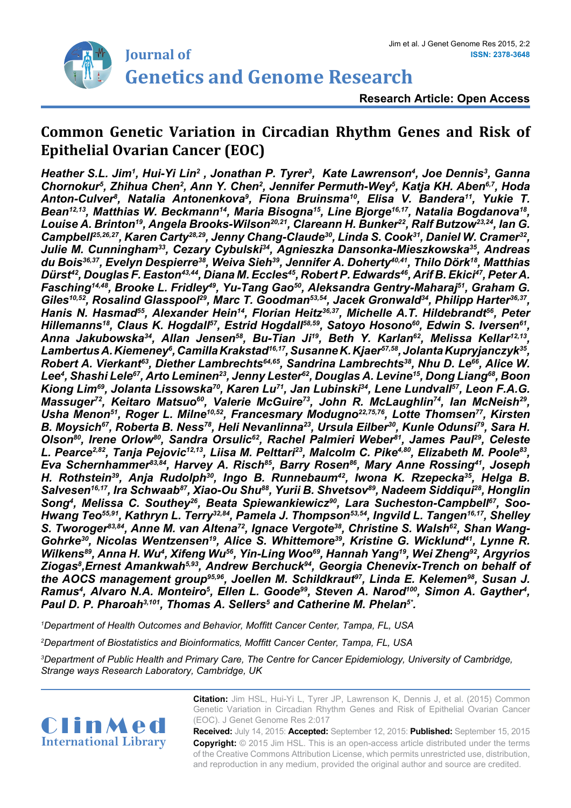

# **Common Genetic Variation in Circadian Rhythm Genes and Risk of Epithelial Ovarian Cancer (EOC)**

*H*eather S.L. Jim<sup>1</sup>, Hui-Yi Lin<sup>2</sup> , Jonathan P. Tyrer<sup>3</sup>, Kate Lawrenson<sup>4</sup>, Joe Dennis<sup>3</sup>, Ganna Chornokur<sup>5</sup>, Zhihua Chen<sup>2</sup>, Ann Y. Chen<sup>2</sup>, Jennifer Permuth-Wey<sup>5</sup>, Katja KH. Aben<sup>6,7</sup>, Hoda Anton-Culver<sup>s</sup>, Natalia Antonenkova<sup>s</sup>, Fiona Bruinsma<sup>10</sup>, Elisa V. Bandera<sup>11</sup>, Yukie T. *Bean12,13, Matthias W. Beckmann14, Maria Bisogna15, Line Bjorge16,17, Natalia Bogdanova18, Louise A. Brinton19, Angela Brooks-Wilson20,21, Clareann H. Bunker22, Ralf Butzow23,24, Ian G. Campbell25,26,27, Karen Carty28,29, Jenny Chang-Claude30, Linda S. Cook31, Daniel W. Cramer32, Julie M. Cunningham33, Cezary Cybulski34, Agnieszka Dansonka-Mieszkowska35, Andreas du Bois36,37, Evelyn Despierre38, Weiva Sieh39, Jennifer A. Doherty40,41, Thilo Dörk18, Matthias Dürst42, Douglas F. Easton43,44, Diana M. Eccles45, Robert P. Edwards46, Arif B. Ekici47, Peter A. Fasching14,48, Brooke L. Fridley49, Yu-Tang Gao50, Aleksandra Gentry-Maharaj51, Graham G. Giles10,52, Rosalind Glasspool29, Marc T. Goodman53,54, Jacek Gronwald34, Philipp Harter36,37,*  Hanis N. Hasmad<sup>55</sup>, Alexander Hein<sup>14</sup>, Florian Heitz<sup>36,37</sup>, Michelle A.T. Hildebrandt<sup>56</sup>, Peter *Hillemanns18, Claus K. Hogdall57, Estrid Hogdall58,59, Satoyo Hosono60, Edwin S. Iversen61, Anna Jakubowska34, Allan Jensen58, Bu-Tian Ji19, Beth Y. Karlan62, Melissa Kellar12,13, Lambertus A. Kiemeney6 , Camilla Krakstad16,17, Susanne K. Kjaer57,58, Jolanta Kupryjanczyk35, Robert A. Vierkant63, Diether Lambrechts64,65, Sandrina Lambrechts38, Nhu D. Le66, Alice W. Lee4 , Shashi Lele67, Arto Leminen23, Jenny Lester62, Douglas A. Levine15, Dong Liang68, Boon Kiong Lim69, Jolanta Lissowska70, Karen Lu71, Jan Lubinski34, Lene Lundvall57, Leon F.A.G.*  Massuger<sup>72</sup>, Keitaro Matsuo<sup>60</sup>, Valerie McGuire<sup>73</sup>, John R. McLaughlin<sup>74</sup>, Ian McNeish<sup>29</sup>, *Usha Menon51, Roger L. Milne10,52, Francesmary Modugno22,75,76, Lotte Thomsen77, Kirsten*  B. Moysich<sup>67</sup>, Roberta B. Ness<sup>78</sup>, Heli Nevanlinna<sup>23</sup>, Ursula Eilber<sup>30</sup>, Kunle Odunsi<sup>79</sup>, Sara H. Olson<sup>80</sup>, Irene Orlow<sup>80</sup>, Sandra Orsulic<sup>62</sup>, Rachel Palmieri Weber<sup>81</sup>, James Paul<sup>29</sup>, Celeste *L. Pearce2,82, Tanja Pejovic12,13, Liisa M. Pelttari23, Malcolm C. Pike4,80, Elizabeth M. Poole83, Eva Schernhammer<sup>83,84</sup>, Harvey A. Risch<sup>85</sup>, Barry Rosen<sup>86</sup>, Mary Anne Rossing<sup>41</sup>, Joseph H. Rothstein39, Anja Rudolph30, Ingo B. Runnebaum42, Iwona K. Rzepecka35, Helga B.*  Salvesen<sup>16,17</sup>, Ira Schwaab<sup>87</sup>, Xiao-Ou Shu<sup>88</sup>, Yurii B. Shvetsov<sup>89</sup>, Nadeem Siddiqui<sup>28</sup>, Honglin *Song4 , Melissa C. Southey26, Beata Spiewankiewicz90, Lara Sucheston-Campbell67, Soo-Hwang Teo55,91, Kathryn L. Terry32,84, Pamela J. Thompson53,54, Ingvild L. Tangen16,17, Shelley*  S. Tworoger<sup>83,84</sup>, Anne M. van Altena<sup>72</sup>, Ignace Vergote<sup>38</sup>, Christine S. Walsh<sup>62</sup>, Shan Wang-*Gohrke30, Nicolas Wentzensen19, Alice S. Whittemore39, Kristine G. Wicklund41, Lynne R.*  Wilkens<sup>89</sup>, Anna H. Wu<sup>4</sup>, Xifeng Wu<sup>56</sup>, Yin-Ling Woo<sup>69</sup>, Hannah Yang<sup>19</sup>, Wei Zheng<sup>92</sup>, Argyrios Ziogas<sup>8</sup>,Ernest Amankwah<sup>5,93</sup>, Andrew Berchuck<sup>94</sup>, Georgia Chenevix-Trench on behalf of the AOCS management group<sup>95,96</sup>, Joellen M. Schildkraut<sup>97</sup>, Linda E. Kelemen<sup>98</sup>, Susan J. Ramus<sup>4</sup>, Alvaro N.A. Monteiro<sup>5</sup>, Ellen L. Goode<sup>99</sup>, Steven A. Narod<sup>100</sup>, Simon A. Gayther<sup>4</sup>, *Paul D. P. Pharoah3,101, Thomas A. Sellers5 and Catherine M. Phelan5\*.*

*1 Department of Health Outcomes and Behavior, Moffitt Cancer Center, Tampa, FL, USA*

*2 Department of Biostatistics and Bioinformatics, Moffitt Cancer Center, Tampa, FL, USA*

*3 Department of Public Health and Primary Care, The Centre for Cancer Epidemiology, University of Cambridge, Strange ways Research Laboratory, Cambridge, UK*

ClinMed **International Library** **Citation:** Jim HSL, Hui-Yi L, Tyrer JP, Lawrenson K, Dennis J, et al. (2015) Common Genetic Variation in Circadian Rhythm Genes and Risk of Epithelial Ovarian Cancer (EOC). J Genet Genome Res 2:017

**Received:** July 14, 2015: **Accepted:** September 12, 2015: **Published:** September 15, 2015 **Copyright:** © 2015 Jim HSL. This is an open-access article distributed under the terms of the Creative Commons Attribution License, which permits unrestricted use, distribution, and reproduction in any medium, provided the original author and source are credited.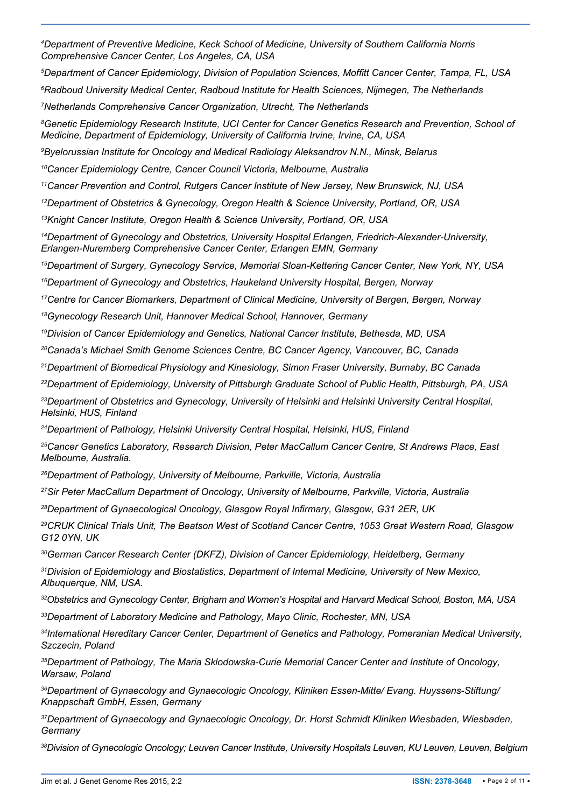*Department of Preventive Medicine, Keck School of Medicine, University of Southern California Norris Comprehensive Cancer Center, Los Angeles, CA, USA*

*Department of Cancer Epidemiology, Division of Population Sciences, Moffitt Cancer Center, Tampa, FL, USA*

*Radboud University Medical Center, Radboud Institute for Health Sciences, Nijmegen, The Netherlands*

*Netherlands Comprehensive Cancer Organization, Utrecht, The Netherlands*

 *Genetic Epidemiology Research Institute, UCI Center for Cancer Genetics Research and Prevention, School of Medicine, Department of Epidemiology, University of California Irvine, Irvine, CA, USA*

*Byelorussian Institute for Oncology and Medical Radiology Aleksandrov N.N., Minsk, Belarus*

*Cancer Epidemiology Centre, Cancer Council Victoria, Melbourne, Australia*

*Cancer Prevention and Control, Rutgers Cancer Institute of New Jersey, New Brunswick, NJ, USA*

*Department of Obstetrics & Gynecology, Oregon Health & Science University, Portland, OR, USA*

*Knight Cancer Institute, Oregon Health & Science University, Portland, OR, USA*

*Department of Gynecology and Obstetrics, University Hospital Erlangen, Friedrich-Alexander-University, Erlangen-Nuremberg Comprehensive Cancer Center, Erlangen EMN, Germany*

*Department of Surgery, Gynecology Service, Memorial Sloan-Kettering Cancer Center, New York, NY, USA*

*Department of Gynecology and Obstetrics, Haukeland University Hospital, Bergen, Norway*

*Centre for Cancer Biomarkers, Department of Clinical Medicine, University of Bergen, Bergen, Norway*

*Gynecology Research Unit, Hannover Medical School, Hannover, Germany*

*Division of Cancer Epidemiology and Genetics, National Cancer Institute, Bethesda, MD, USA*

*Canada's Michael Smith Genome Sciences Centre, BC Cancer Agency, Vancouver, BC, Canada*

*Department of Biomedical Physiology and Kinesiology, Simon Fraser University, Burnaby, BC Canada*

*Department of Epidemiology, University of Pittsburgh Graduate School of Public Health, Pittsburgh, PA, USA Department of Obstetrics and Gynecology, University of Helsinki and Helsinki University Central Hospital,* 

*Helsinki, HUS, Finland*

*Department of Pathology, Helsinki University Central Hospital, Helsinki, HUS, Finland*

*Cancer Genetics Laboratory, Research Division, Peter MacCallum Cancer Centre, St Andrews Place, East Melbourne, Australia.*

*Department of Pathology, University of Melbourne, Parkville, Victoria, Australia*

*Sir Peter MacCallum Department of Oncology, University of Melbourne, Parkville, Victoria, Australia*

*Department of Gynaecological Oncology, Glasgow Royal Infirmary, Glasgow, G31 2ER, UK*

*CRUK Clinical Trials Unit, The Beatson West of Scotland Cancer Centre, 1053 Great Western Road, Glasgow G12 0YN, UK*

*German Cancer Research Center (DKFZ), Division of Cancer Epidemiology, Heidelberg, Germany*

*Division of Epidemiology and Biostatistics, Department of Internal Medicine, University of New Mexico, Albuquerque, NM, USA.*

*Obstetrics and Gynecology Center, Brigham and Women's Hospital and Harvard Medical School, Boston, MA, USA*

*Department of Laboratory Medicine and Pathology, Mayo Clinic, Rochester, MN, USA*

*International Hereditary Cancer Center, Department of Genetics and Pathology, Pomeranian Medical University, Szczecin, Poland*

*Department of Pathology, The Maria Sklodowska-Curie Memorial Cancer Center and Institute of Oncology, Warsaw, Poland*

*Department of Gynaecology and Gynaecologic Oncology, Kliniken Essen-Mitte/ Evang. Huyssens-Stiftung/ Knappschaft GmbH, Essen, Germany*

*Department of Gynaecology and Gynaecologic Oncology, Dr. Horst Schmidt Kliniken Wiesbaden, Wiesbaden, Germany*

*Division of Gynecologic Oncology; Leuven Cancer Institute, University Hospitals Leuven, KU Leuven, Leuven, Belgium*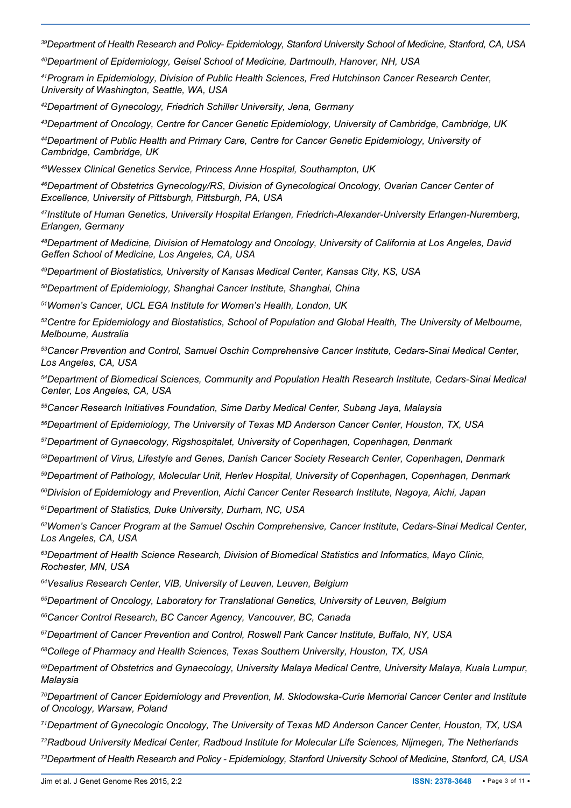*Department of Health Research and Policy- Epidemiology, Stanford University School of Medicine, Stanford, CA, USA*

*Department of Epidemiology, Geisel School of Medicine, Dartmouth, Hanover, NH, USA*

*Program in Epidemiology, Division of Public Health Sciences, Fred Hutchinson Cancer Research Center, University of Washington, Seattle, WA, USA*

*Department of Gynecology, Friedrich Schiller University, Jena, Germany*

*Department of Oncology, Centre for Cancer Genetic Epidemiology, University of Cambridge, Cambridge, UK*

*Department of Public Health and Primary Care, Centre for Cancer Genetic Epidemiology, University of Cambridge, Cambridge, UK*

*Wessex Clinical Genetics Service, Princess Anne Hospital, Southampton, UK*

*Department of Obstetrics Gynecology/RS, Division of Gynecological Oncology, Ovarian Cancer Center of Excellence, University of Pittsburgh, Pittsburgh, PA, USA*

*Institute of Human Genetics, University Hospital Erlangen, Friedrich-Alexander-University Erlangen-Nuremberg, Erlangen, Germany*

*Department of Medicine, Division of Hematology and Oncology, University of California at Los Angeles, David Geffen School of Medicine, Los Angeles, CA, USA*

*Department of Biostatistics, University of Kansas Medical Center, Kansas City, KS, USA*

*Department of Epidemiology, Shanghai Cancer Institute, Shanghai, China*

*Women's Cancer, UCL EGA Institute for Women's Health, London, UK*

*Centre for Epidemiology and Biostatistics, School of Population and Global Health, The University of Melbourne, Melbourne, Australia*

*Cancer Prevention and Control, Samuel Oschin Comprehensive Cancer Institute, Cedars-Sinai Medical Center, Los Angeles, CA, USA*

*Department of Biomedical Sciences, Community and Population Health Research Institute, Cedars-Sinai Medical Center, Los Angeles, CA, USA*

*Cancer Research Initiatives Foundation, Sime Darby Medical Center, Subang Jaya, Malaysia*

*Department of Epidemiology, The University of Texas MD Anderson Cancer Center, Houston, TX, USA*

*Department of Gynaecology, Rigshospitalet, University of Copenhagen, Copenhagen, Denmark*

*Department of Virus, Lifestyle and Genes, Danish Cancer Society Research Center, Copenhagen, Denmark*

*Department of Pathology, Molecular Unit, Herlev Hospital, University of Copenhagen, Copenhagen, Denmark*

*Division of Epidemiology and Prevention, Aichi Cancer Center Research Institute, Nagoya, Aichi, Japan*

*Department of Statistics, Duke University, Durham, NC, USA*

*Women's Cancer Program at the Samuel Oschin Comprehensive, Cancer Institute, Cedars-Sinai Medical Center, Los Angeles, CA, USA*

*Department of Health Science Research, Division of Biomedical Statistics and Informatics, Mayo Clinic, Rochester, MN, USA*

*Vesalius Research Center, VIB, University of Leuven, Leuven, Belgium*

*Department of Oncology, Laboratory for Translational Genetics, University of Leuven, Belgium*

*Cancer Control Research, BC Cancer Agency, Vancouver, BC, Canada*

*Department of Cancer Prevention and Control, Roswell Park Cancer Institute, Buffalo, NY, USA*

*College of Pharmacy and Health Sciences, Texas Southern University, Houston, TX, USA*

*Department of Obstetrics and Gynaecology, University Malaya Medical Centre, University Malaya, Kuala Lumpur, Malaysia*

*Department of Cancer Epidemiology and Prevention, M. Sklodowska-Curie Memorial Cancer Center and Institute of Oncology, Warsaw, Poland*

*Department of Gynecologic Oncology, The University of Texas MD Anderson Cancer Center, Houston, TX, USA*

*Radboud University Medical Center, Radboud Institute for Molecular Life Sciences, Nijmegen, The Netherlands*

*Department of Health Research and Policy - Epidemiology, Stanford University School of Medicine, Stanford, CA, USA*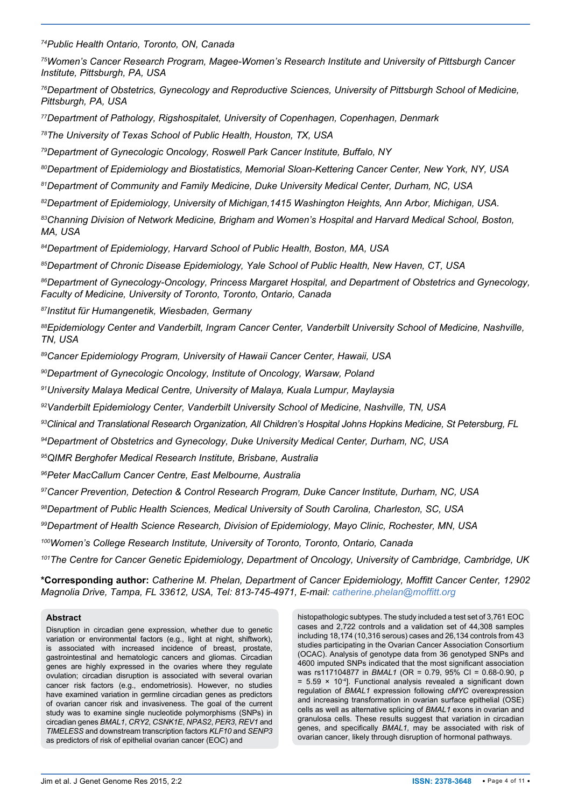*<sup>74</sup>Public Health Ontario, Toronto, ON, Canada*

*<sup>75</sup>Women's Cancer Research Program, Magee-Women's Research Institute and University of Pittsburgh Cancer Institute, Pittsburgh, PA, USA*

*<sup>76</sup>Department of Obstetrics, Gynecology and Reproductive Sciences, University of Pittsburgh School of Medicine, Pittsburgh, PA, USA* 

*<sup>77</sup>Department of Pathology, Rigshospitalet, University of Copenhagen, Copenhagen, Denmark*

*<sup>78</sup>The University of Texas School of Public Health, Houston, TX, USA*

*<sup>79</sup>Department of Gynecologic Oncology, Roswell Park Cancer Institute, Buffalo, NY*

*<sup>80</sup>Department of Epidemiology and Biostatistics, Memorial Sloan-Kettering Cancer Center, New York, NY, USA*

*<sup>81</sup>Department of Community and Family Medicine, Duke University Medical Center, Durham, NC, USA*

*<sup>82</sup>Department of Epidemiology, University of Michigan,1415 Washington Heights, Ann Arbor, Michigan, USA.*

*<sup>83</sup>Channing Division of Network Medicine, Brigham and Women's Hospital and Harvard Medical School, Boston, MA, USA* 

*<sup>84</sup>Department of Epidemiology, Harvard School of Public Health, Boston, MA, USA*

*<sup>85</sup>Department of Chronic Disease Epidemiology, Yale School of Public Health, New Haven, CT, USA*

*<sup>86</sup>Department of Gynecology-Oncology, Princess Margaret Hospital, and Department of Obstetrics and Gynecology, Faculty of Medicine, University of Toronto, Toronto, Ontario, Canada*

*<sup>87</sup>Institut für Humangenetik, Wiesbaden, Germany*

*<sup>88</sup>Epidemiology Center and Vanderbilt, Ingram Cancer Center, Vanderbilt University School of Medicine, Nashville, TN, USA*

*<sup>89</sup>Cancer Epidemiology Program, University of Hawaii Cancer Center, Hawaii, USA*

*<sup>90</sup>Department of Gynecologic Oncology, Institute of Oncology, Warsaw, Poland*

*<sup>91</sup>University Malaya Medical Centre, University of Malaya, Kuala Lumpur, Maylaysia*

*<sup>92</sup>Vanderbilt Epidemiology Center, Vanderbilt University School of Medicine, Nashville, TN, USA*

*<sup>93</sup>Clinical and Translational Research Organization, All Children's Hospital Johns Hopkins Medicine, St Petersburg, FL*

*<sup>94</sup>Department of Obstetrics and Gynecology, Duke University Medical Center, Durham, NC, USA*

*<sup>95</sup>QIMR Berghofer Medical Research Institute, Brisbane, Australia*

*<sup>96</sup>Peter MacCallum Cancer Centre, East Melbourne, Australia*

*<sup>97</sup>Cancer Prevention, Detection & Control Research Program, Duke Cancer Institute, Durham, NC, USA*

*<sup>98</sup>Department of Public Health Sciences, Medical University of South Carolina, Charleston, SC, USA*

*<sup>99</sup>Department of Health Science Research, Division of Epidemiology, Mayo Clinic, Rochester, MN, USA*

*<sup>100</sup>Women's College Research Institute, University of Toronto, Toronto, Ontario, Canada*

*<sup>101</sup>The Centre for Cancer Genetic Epidemiology, Department of Oncology, University of Cambridge, Cambridge, UK*

**\*Corresponding author:** *Catherine M. Phelan, Department of Cancer Epidemiology, Moffitt Cancer Center, 12902 Magnolia Drive, Tampa, FL 33612, USA, Tel: 813-745-4971, E-mail: catherine.phelan@moffitt.org*

#### **Abstract**

Disruption in circadian gene expression, whether due to genetic variation or environmental factors (e.g., light at night, shiftwork), is associated with increased incidence of breast, prostate, gastrointestinal and hematologic cancers and gliomas. Circadian genes are highly expressed in the ovaries where they regulate ovulation; circadian disruption is associated with several ovarian cancer risk factors (e.g., endometriosis). However, no studies have examined variation in germline circadian genes as predictors of ovarian cancer risk and invasiveness. The goal of the current study was to examine single nucleotide polymorphisms (SNPs) in circadian genes *BMAL1*, *CRY2*, *CSNK1E*, *NPAS2*, *PER3*, *REV1* and *TIMELESS* and downstream transcription factors *KLF10* and *SENP3*  as predictors of risk of epithelial ovarian cancer (EOC) and

histopathologic subtypes. The study included a test set of 3,761 EOC cases and 2,722 controls and a validation set of 44,308 samples including 18,174 (10,316 serous) cases and 26,134 controls from 43 studies participating in the Ovarian Cancer Association Consortium (OCAC). Analysis of genotype data from 36 genotyped SNPs and 4600 imputed SNPs indicated that the most significant association was rs117104877 in *BMAL1* (OR = 0.79, 95% CI = 0.68-0.90, p  $= 5.59 \times 10^{-4}$ ]. Functional analysis revealed a significant down regulation of *BMAL1* expression following *cMYC* overexpression and increasing transformation in ovarian surface epithelial (OSE) cells as well as alternative splicing of *BMAL1* exons in ovarian and granulosa cells. These results suggest that variation in circadian genes, and specifically *BMAL1,* may be associated with risk of ovarian cancer, likely through disruption of hormonal pathways.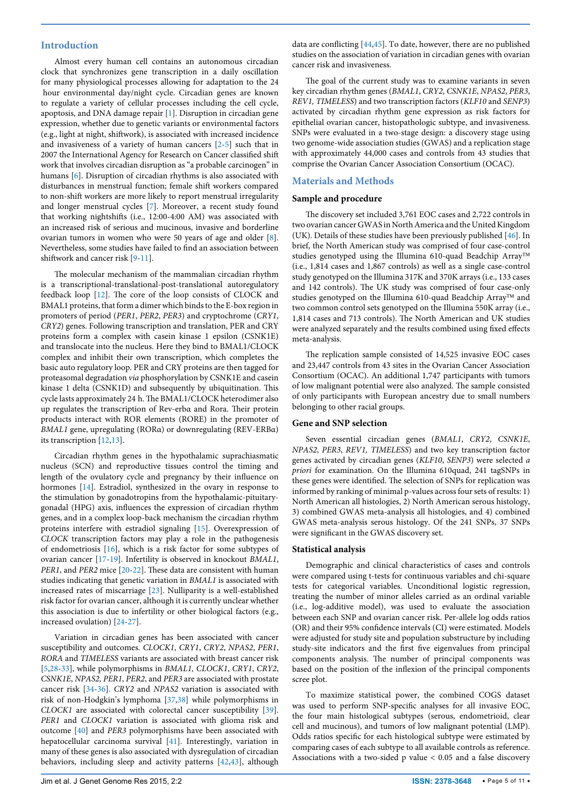#### **Introduction**

Almost every human cell contains an autonomous circadian clock that synchronizes gene transcription in a daily oscillation for many physiological processes allowing for adaptation to the 24 hour environmental day/night cycle. Circadian genes are known to regulate a variety of cellular processes including the cell cycle, apoptosis, and DNA damage repair [\[1\]](#page-9-0). Disruption in circadian gene expression, whether due to genetic variants or environmental factors (e.g., light at night, shiftwork), is associated with increased incidence and invasiveness of a variety of human cancers [\[2](#page-9-1)-[5\]](#page-9-2) such that in 2007 the International Agency for Research on Cancer classified shift work that involves circadian disruption as "a probable carcinogen" in humans [\[6\]](#page-9-3). Disruption of circadian rhythms is also associated with disturbances in menstrual function; female shift workers compared to non-shift workers are more likely to report menstrual irregularity and longer menstrual cycles [[7](#page-9-4)]. Moreover, a recent study found that working nightshifts (i.e., 12:00-4:00 AM) was associated with an increased risk of serious and mucinous, invasive and borderline ovarian tumors in women who were 50 years of age and older [\[8](#page-9-5)]. Nevertheless, some studies have failed to find an association between shiftwork and cancer risk [[9](#page-9-6)[-11](#page-9-7)].

The molecular mechanism of the mammalian circadian rhythm is a transcriptional-translational-post-translational autoregulatory feedback loop [\[12\]](#page-9-8). The core of the loop consists of CLOCK and BMAL1 proteins, that form a dimer which binds to the E-box region in promoters of period (*PER1*, *PER2*, *PER3*) and cryptochrome (*CRY1*, *CRY2*) genes. Following transcription and translation, PER and CRY proteins form a complex with casein kinase 1 epsilon (CSNK1E) and translocate into the nucleus. Here they bind to BMAL1/CLOCK complex and inhibit their own transcription, which completes the basic auto regulatory loop. PER and CRY proteins are then tagged for proteasomal degradation *via* phosphorylation by CSNK1E and casein kinase 1 delta (CSNK1D) and subsequently by ubiquitination. This cycle lasts approximately 24 h. The BMAL1/CLOCK heterodimer also up regulates the transcription of Rev-erbα and Rora. Their protein products interact with ROR elements (RORE) in the promoter of *BMAL1* gene, upregulating (RORα) or downregulating (REV-ERBα) its transcription [\[12](#page-9-8)[,13\]](#page-9-9).

Circadian rhythm genes in the hypothalamic suprachiasmatic nucleus (SCN) and reproductive tissues control the timing and length of the ovulatory cycle and pregnancy by their influence on hormones [\[14\]](#page-9-10). Estradiol, synthesized in the ovary in response to the stimulation by gonadotropins from the hypothalamic-pituitarygonadal (HPG) axis, influences the expression of circadian rhythm genes, and in a complex loop-back mechanism the circadian rhythm proteins interfere with estradiol signaling [\[15](#page-9-11)]. Overexpression of *CLOCK* transcription factors may play a role in the pathogenesis of endometriosis [\[16\]](#page-9-12), which is a risk factor for some subtypes of ovarian cancer [[17](#page-9-13)[-19](#page-9-14)]. Infertility is observed in knockout *BMAL1*, *PER1*, and *PER2* mice [[20](#page-9-15)[-22](#page-9-16)]. These data are consistent with human studies indicating that genetic variation in *BMAL1* is associated with increased rates of miscarriage [[23\]](#page-9-17). Nulliparity is a well-established risk factor for ovarian cancer, although it is currently unclear whether this association is due to infertility or other biological factors (e.g., increased ovulation) [\[24](#page-9-18)[-27\]](#page-9-19).

Variation in circadian genes has been associated with cancer susceptibility and outcomes. *CLOCK1*, *CRY1*, *CRY2*, *NPAS2*, *PER1*, *RORA* and *TIMELESS* variants are associated with breast cancer risk [[5,](#page-9-2)[28-](#page-9-20)[33](#page-9-21)], while polymorphisms in *BMAL1, CLOCK1*, *CRY1*, *CRY2*, *CSNK1E*, *NPAS2, PER1*, *PER2*, and *PER3* are associated with prostate cancer risk [[34](#page-9-22)[-36](#page-9-23)]. *CRY2* and *NPAS2* variation is associated with risk of non-Hodgkin's lymphoma [\[37,](#page-9-24)[38\]](#page-9-25) while polymorphisms in *CLOCK1* are associated with colorectal cancer susceptibility [[39](#page-9-26)]. *PER1* and *CLOCK1* variation is associated with glioma risk and outcome [\[40](#page-9-27)] and *PER3* polymorphisms have been associated with hepatocellular carcinoma survival [\[41\]](#page-10-3). Interestingly, variation in many of these genes is also associated with dysregulation of circadian behaviors, including sleep and activity patterns [[42](#page-10-4)[,43](#page-10-5)], although data are conflicting [\[44,](#page-10-0)[45](#page-10-1)]. To date, however, there are no published studies on the association of variation in circadian genes with ovarian cancer risk and invasiveness.

The goal of the current study was to examine variants in seven key circadian rhythm genes (*BMAL1*, *CRY2*, *CSNK1E*, *NPAS2*, *PER3*, *REV1, TIMELESS*) and two transcription factors (*KLF10* and *SENP3*) activated by circadian rhythm gene expression as risk factors for epithelial ovarian cancer, histopathologic subtype, and invasiveness. SNPs were evaluated in a two-stage design: a discovery stage using two genome-wide association studies (GWAS) and a replication stage with approximately 44,000 cases and controls from 43 studies that comprise the Ovarian Cancer Association Consortium (OCAC).

### **Materials and Methods**

#### **Sample and procedure**

The discovery set included 3,761 EOC cases and 2,722 controls in two ovarian cancer GWAS in North America and the United Kingdom (UK). Details of these studies have been previously published [\[46\]](#page-10-2). In brief, the North American study was comprised of four case-control studies genotyped using the Illumina 610-quad Beadchip Array (i.e., 1,814 cases and 1,867 controls) as well as a single case-control study genotyped on the Illumina 317K and 370K arrays (i.e., 133 cases and 142 controls). The UK study was comprised of four case-only studies genotyped on the Illumina 610-quad Beadchip Array<sup>TM</sup> and two common control sets genotyped on the Illumina 550K array (i.e., 1,814 cases and 713 controls). The North American and UK studies were analyzed separately and the results combined using fixed effects meta-analysis.

The replication sample consisted of 14,525 invasive EOC cases and 23,447 controls from 43 sites in the Ovarian Cancer Association Consortium (OCAC). An additional 1,747 participants with tumors of low malignant potential were also analyzed. The sample consisted of only participants with European ancestry due to small numbers belonging to other racial groups.

#### **Gene and SNP selection**

Seven essential circadian genes (*BMAL1*, *CRY2*, *CSNK1E*, *NPAS2*, *PER3*, *REV1, TIMELESS*) and two key transcription factor genes activated by circadian genes (*KLF10*, *SENP3*) were selected *a priori* for examination. On the Illumina 610quad, 241 tagSNPs in these genes were identified. The selection of SNPs for replication was informed by ranking of minimal p-values across four sets of results: 1) North American all histologies, 2) North American serous histology, 3) combined GWAS meta-analysis all histologies, and 4) combined GWAS meta-analysis serous histology. Of the 241 SNPs, 37 SNPs were significant in the GWAS discovery set.

#### **Statistical analysis**

Demographic and clinical characteristics of cases and controls were compared using t-tests for continuous variables and chi-square tests for categorical variables. Unconditional logistic regression, treating the number of minor alleles carried as an ordinal variable (i.e., log-additive model), was used to evaluate the association between each SNP and ovarian cancer risk. Per-allele log odds ratios (OR) and their 95% confidence intervals (CI) were estimated. Models were adjusted for study site and population substructure by including study-site indicators and the first five eigenvalues from principal components analysis. The number of principal components was based on the position of the inflexion of the principal components scree plot.

To maximize statistical power, the combined COGS dataset was used to perform SNP-specific analyses for all invasive EOC, the four main histological subtypes (serous, endometrioid, clear cell and mucinous), and tumors of low malignant potential (LMP). Odds ratios specific for each histological subtype were estimated by comparing cases of each subtype to all available controls as reference. Associations with a two-sided p value < 0.05 and a false discovery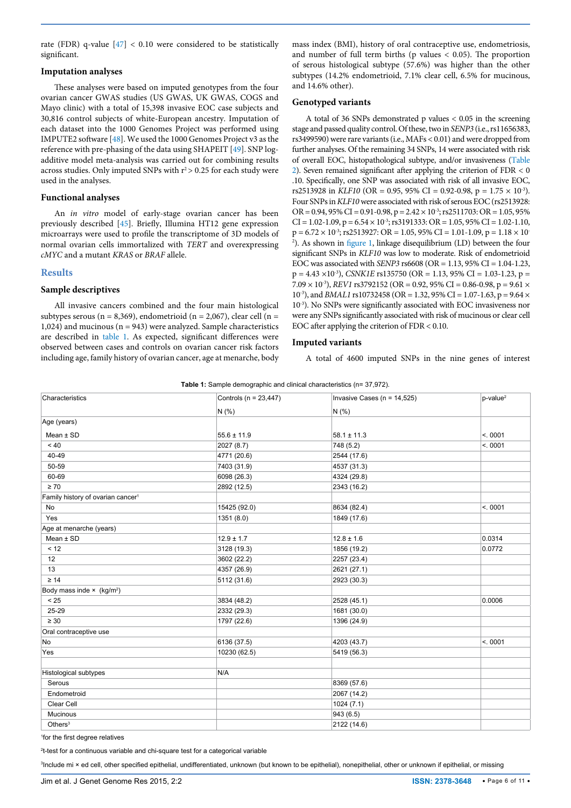rate (FDR) q-value  $[47] < 0.10$  $[47] < 0.10$  $[47] < 0.10$  were considered to be statistically significant.

#### **Imputation analyses**

These analyses were based on imputed genotypes from the four ovarian cancer GWAS studies (US GWAS, UK GWAS, COGS and Mayo clinic) with a total of 15,398 invasive EOC case subjects and 30,816 control subjects of white-European ancestry. Imputation of each dataset into the 1000 Genomes Project was performed using IMPUTE2 software [\[48\]](#page-10-7). We used the 1000 Genomes Project v3 as the reference with pre-phasing of the data using SHAPEIT [[49](#page-10-8)]. SNP logadditive model meta-analysis was carried out for combining results across studies. Only imputed SNPs with  $r^2$  > 0.25 for each study were used in the analyses.

#### **Functional analyses**

An *in vitro* model of early-stage ovarian cancer has been previously described [\[45\]](#page-10-1). Briefly, Illumina HT12 gene expression microarrays were used to profile the transcriptome of 3D models of normal ovarian cells immortalized with *TERT* and overexpressing *cMYC* and a mutant *KRAS* or *BRAF* allele.

#### **Results**

#### **Sample descriptives**

All invasive cancers combined and the four main histological subtypes serous ( $n = 8,369$ ), endometrioid ( $n = 2,067$ ), clear cell ( $n =$ 1,024) and mucinous (n = 943) were analyzed. Sample characteristics are described in [table 1](#page-5-0). As expected, significant differences were observed between cases and controls on ovarian cancer risk factors including age, family history of ovarian cancer, age at menarche, body

mass index (BMI), history of oral contraceptive use, endometriosis, and number of full term births (p values  $< 0.05$ ). The proportion of serous histological subtype (57.6%) was higher than the other subtypes (14.2% endometrioid, 7.1% clear cell, 6.5% for mucinous, and 14.6% other).

#### **Genotyped variants**

A total of 36 SNPs demonstrated p values < 0.05 in the screening stage and passed quality control. Of these, two in *SENP3* (i.e., rs11656383, rs3499590) were rare variants (i.e., MAFs < 0.01) and were dropped from further analyses. Of the remaining 34 SNPs, 14 were associated with risk of overall EOC, histopathological subtype, and/or invasiveness [\(Table](#page-6-0)  [2\)](#page-6-0). Seven remained significant after applying the criterion of FDR < 0 .10. Specifically, one SNP was associated with risk of all invasive EOC, rs2513928 in *KLF10* (OR = 0.95, 95% CI = 0.92-0.98, p =  $1.75 \times 10^{-3}$ ). Four SNPs in *KLF10* were associated with risk of serous EOC (rs2513928: OR = 0.94, 95% CI = 0.91-0.98, p =  $2.42 \times 10^{-3}$ ; rs2511703: OR = 1.05, 95%  $CI = 1.02 - 1.09$ ,  $p = 6.54 \times 10^{-3}$ ; rs3191333:  $OR = 1.05$ , 95%  $CI = 1.02 - 1.10$ ,  $p = 6.72 \times 10^{-3}$ ; rs2513927: OR = 1.05, 95% CI = 1.01-1.09, p = 1.18  $\times$  10<sup>-</sup> 2 ). As shown in [figure 1](#page-7-0), linkage disequilibrium (LD) between the four significant SNPs in *KLF10* was low to moderate. Risk of endometrioid EOC was associated with *SENP3* rs6608 (OR = 1.13, 95% CI = 1.04-1.23,  $p = 4.43 \times 10^{-3}$ ), *CSNK1E* rs135750 (OR = 1.13, 95% CI = 1.03-1.23, p =  $7.09 \times 10^{-3}$ ), *REV1* rs3792152 (OR = 0.92, 95% CI = 0.86-0.98, p = 9.61  $\times$ 10-3), and *BMAL1* rs10732458 (OR = 1.32, 95% CI = 1.07-1.63, p = 9.64 × 10<sup>-3</sup>). No SNPs were significantly associated with EOC invasiveness nor were any SNPs significantly associated with risk of mucinous or clear cell EOC after applying the criterion of FDR < 0.10.

#### **Imputed variants**

A total of 4600 imputed SNPs in the nine genes of interest

<span id="page-5-0"></span>

|  |  | <b>Table 1:</b> Sample demographic and clinical characteristics (n= 37,972). |  |
|--|--|------------------------------------------------------------------------------|--|
|  |  |                                                                              |  |

| Characteristics                               | Controls ( $n = 23,447$ ) | Invasive Cases ( $n = 14,525$ ) | $p$ -value <sup>2</sup> |
|-----------------------------------------------|---------------------------|---------------------------------|-------------------------|
|                                               | N(% )                     | N(% )                           |                         |
| Age (years)                                   |                           |                                 |                         |
| Mean $±$ SD                                   | $55.6 \pm 11.9$           | $58.1 \pm 11.3$                 | < 0001                  |
| $~<$ 40                                       | 2027 (8.7)                | 748 (5.2)                       | < 0001                  |
| 40-49                                         | 4771 (20.6)               | 2544 (17.6)                     |                         |
| 50-59                                         | 7403 (31.9)               | 4537 (31.3)                     |                         |
| 60-69                                         | 6098 (26.3)               | 4324 (29.8)                     |                         |
| $\geq 70$                                     | 2892 (12.5)               | 2343 (16.2)                     |                         |
| Family history of ovarian cancer <sup>1</sup> |                           |                                 |                         |
| No                                            | 15425 (92.0)              | 8634 (82.4)                     | < 0001                  |
| Yes                                           | 1351 (8.0)                | 1849 (17.6)                     |                         |
| Age at menarche (years)                       |                           |                                 |                         |
| Mean $±$ SD                                   | $12.9 \pm 1.7$            | $12.8 \pm 1.6$                  | 0.0314                  |
| < 12                                          | 3128 (19.3)               | 1856 (19.2)                     | 0.0772                  |
| 12                                            | 3602 (22.2)               | 2257 (23.4)                     |                         |
| 13                                            | 4357 (26.9)               | 2621 (27.1)                     |                         |
| $\geq 14$                                     | 5112 (31.6)               | 2923 (30.3)                     |                         |
| Body mass inde $\times$ (kg/m <sup>2</sup> )  |                           |                                 |                         |
| < 25                                          | 3834 (48.2)               | 2528 (45.1)                     | 0.0006                  |
| 25-29                                         | 2332 (29.3)               | 1681 (30.0)                     |                         |
| $\geq 30$                                     | 1797 (22.6)               | 1396 (24.9)                     |                         |
| Oral contraceptive use                        |                           |                                 |                         |
| No                                            | 6136 (37.5)               | 4203 (43.7)                     | < 0001                  |
| Yes                                           | 10230 (62.5)              | 5419 (56.3)                     |                         |
| Histological subtypes                         | N/A                       |                                 |                         |
| Serous                                        |                           | 8369 (57.6)                     |                         |
| Endometroid                                   |                           | 2067 (14.2)                     |                         |
| Clear Cell                                    |                           | 1024(7.1)                       |                         |
| Mucinous                                      |                           | 943 (6.5)                       |                         |
| Others $3$                                    |                           | 2122 (14.6)                     |                         |

1 for the first degree relatives

2 t-test for a continuous variable and chi-square test for a categorical variable

3 Include mi × ed cell, other specified epithelial, undifferentiated, unknown (but known to be epithelial), nonepithelial, other or unknown if epithelial, or missing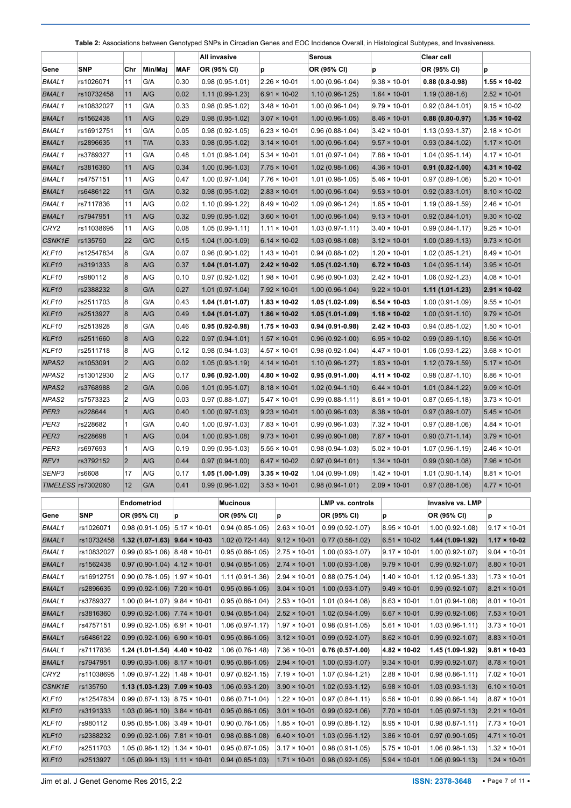<span id="page-6-0"></span>**Table 2:** Associations between Genotyped SNPs in Circadian Genes and EOC Incidence Overall, in Histological Subtypes, and Invasiveness.

|                   |                           |                         |                                          |            | All invasive        |   |                       | Serous              |                       | Clear cell          |                       |
|-------------------|---------------------------|-------------------------|------------------------------------------|------------|---------------------|---|-----------------------|---------------------|-----------------------|---------------------|-----------------------|
| Gene              | <b>SNP</b>                | Chr                     | Min/Maj                                  | <b>MAF</b> | OR (95% CI)         | p |                       | OR (95% CI)         | p                     | OR (95% CI)         | p                     |
| <b>BMAL1</b>      | rs1026071                 | 11                      | G/A                                      | 0.30       | $0.98(0.95-1.01)$   |   | $2.26 \times 10 - 01$ | $1.00(0.96-1.04)$   | $9.38 \times 10 - 01$ | $0.88(0.8-0.98)$    | $1.55 \times 10 - 02$ |
| <b>BMAL1</b>      | rs10732458                | 11                      | A/G                                      | 0.02       | $1.11(0.99-1.23)$   |   | $6.91 \times 10-02$   | $1.10(0.96-1.25)$   | $1.64 \times 10 - 01$ | $1.19(0.88-1.6)$    | $2.52 \times 10 - 01$ |
| <b>BMAL1</b>      | rs10832027                | 11                      | G/A                                      | 0.33       | $0.98(0.95-1.02)$   |   | $3.48 \times 10 - 01$ | $1.00(0.96-1.04)$   | $9.79 \times 10 - 01$ | $0.92(0.84 - 1.01)$ | $9.15 \times 10 - 02$ |
| <b>BMAL1</b>      | rs1562438                 | 11                      | A/G                                      | 0.29       | $0.98(0.95-1.02)$   |   | $3.07 \times 10 - 01$ | $1.00(0.96-1.05)$   | $8.46 \times 10 - 01$ | $0.88(0.80-0.97)$   | $1.35 \times 10 - 02$ |
| <b>BMAL1</b>      | rs16912751                | 11                      | G/A                                      | 0.05       | $0.98(0.92-1.05)$   |   | $6.23 \times 10 - 01$ | $0.96(0.88-1.04)$   | $3.42 \times 10 - 01$ | $1.13(0.93-1.37)$   | $2.18 \times 10 - 01$ |
| <b>BMAL1</b>      | rs2896635                 | 11                      | T/A                                      | 0.33       | $0.98(0.95-1.02)$   |   | $3.14 \times 10 - 01$ | $1.00(0.96-1.04)$   | $9.57 \times 10 - 01$ | $0.93(0.84-1.02)$   | $1.17 \times 10 - 01$ |
| <b>BMAL1</b>      | rs3789327                 | 11                      | G/A                                      | 0.48       | $1.01(0.98-1.04)$   |   | $5.34 \times 10 - 01$ | $1.01(0.97-1.04)$   | $7.88 \times 10 - 01$ | $1.04(0.95-1.14)$   | $4.17 \times 10 - 01$ |
| <b>BMAL1</b>      | rs3816360                 | 11                      | A/G                                      | 0.34       | $1.00(0.96-1.03)$   |   | $7.75 \times 10 - 01$ | $1.02(0.98-1.06)$   | $4.36 \times 10 - 01$ | $0.91(0.82 - 1.00)$ | $4.31 \times 10 - 02$ |
| <b>BMAL1</b>      | rs4757151                 | 11                      | A/G                                      | 0.47       | $1.00(0.97-1.04)$   |   | $7.76 \times 10 - 01$ | $1.01(0.98-1.05)$   | $5.46 \times 10 - 01$ | $0.97(0.89-1.06)$   | $5.20 \times 10 - 01$ |
| <b>BMAL1</b>      | rs6486122                 | 11                      | G/A                                      | 0.32       | $0.98(0.95-1.02)$   |   | $2.83 \times 10 - 01$ | $1.00(0.96-1.04)$   | $9.53 \times 10 - 01$ | $0.92(0.83 - 1.01)$ | $8.10 \times 10 - 02$ |
| <b>BMAL1</b>      | rs7117836                 | 11                      | A/G                                      | 0.02       | $1.10(0.99-1.22)$   |   | $8.49 \times 10 - 02$ | 1.09 (0.96-1.24)    | $1.65 \times 10 - 01$ | $1.19(0.89-1.59)$   | $2.46 \times 10 - 01$ |
| <b>BMAL1</b>      | rs7947951                 | 11                      | A/G                                      | 0.32       | $0.99(0.95-1.02)$   |   | $3.60 \times 10 - 01$ | $1.00(0.96-1.04)$   | $9.13 \times 10 - 01$ | $0.92(0.84-1.01)$   | $9.30 \times 10 - 02$ |
| CRY2              | rs11038695                | 11                      | A/G                                      | 0.08       | $1.05(0.99-1.11)$   |   | $1.11 \times 10 - 01$ | $1.03(0.97-1.11)$   | $3.40 \times 10 - 01$ | $0.99(0.84-1.17)$   | $9.25 \times 10 - 01$ |
| CSNK1E            | rs135750                  | 22                      | G/C                                      | 0.15       | $1.04(1.00-1.09)$   |   | $6.14 \times 10 - 02$ | $1.03(0.98-1.08)$   | $3.12 \times 10 - 01$ | $1.00(0.89-1.13)$   | $9.73 \times 10 - 01$ |
| KLF10             | rs12547834                | 8                       | G/A                                      | 0.07       | $0.96(0.90-1.02)$   |   | $1.43 \times 10 - 01$ | $0.94(0.88-1.02)$   | $1.20 \times 10 - 01$ | $1.02(0.85-1.21)$   | $8.49 \times 10 - 01$ |
| KLF10             | rs3191333                 | 8                       | A/G                                      | 0.37       | $1.04(1.01-1.07)$   |   | $2.42 \times 10 - 02$ | $1.05(1.02 - 1.10)$ | $6.72 \times 10-03$   | $1.04(0.95-1.14)$   | $3.95 \times 10 - 01$ |
| KLF10             | rs980112                  | 8                       | A/G                                      | 0.10       | $0.97(0.92 - 1.02)$ |   | $1.98 \times 10 - 01$ | $0.96(0.90-1.03)$   | $2.42 \times 10 - 01$ | $1.06(0.92 - 1.23)$ | $4.08 \times 10 - 01$ |
| <b>KLF10</b>      | rs2388232                 | 8                       | G/A                                      | 0.27       | $1.01(0.97-1.04)$   |   | $7.92 \times 10 - 01$ | $1.00(0.96-1.04)$   | $9.22 \times 10 - 01$ | $1.11(1.01-1.23)$   | $2.91 \times 10 - 02$ |
| KLF10             | rs2511703                 | 8                       | G/A                                      | 0.43       | 1.04 (1.01-1.07)    |   | $1.83 \times 10 - 02$ | 1.05 (1.02-1.09)    | $6.54 \times 10-03$   | $1.00(0.91-1.09)$   | $9.55 \times 10 - 01$ |
| KLF10             | rs2513927                 | 8                       | A/G                                      | 0.49       | $1.04(1.01-1.07)$   |   | $1.86 \times 10 - 02$ | $1.05(1.01-1.09)$   | $1.18 \times 10 - 02$ | $1.00(0.91-1.10)$   | $9.79 \times 10 - 01$ |
| KLF10             | rs2513928                 | 8                       | G/A                                      | 0.46       | $0.95(0.92-0.98)$   |   | $1.75 \times 10 - 03$ | $0.94(0.91-0.98)$   | $2.42 \times 10 - 03$ | $0.94(0.85-1.02)$   | $1.50 \times 10 - 01$ |
| <b>KLF10</b>      | rs2511660                 | 8                       | A/G                                      | 0.22       | $0.97(0.94-1.01)$   |   | $1.57 \times 10 - 01$ | $0.96(0.92-1.00)$   | $6.95 \times 10 - 02$ | $0.99(0.89-1.10)$   | $8.56 \times 10 - 01$ |
| KLF10             | rs2511718                 | 8                       | A/G                                      | 0.12       | $0.98(0.94-1.03)$   |   | $4.57 \times 10 - 01$ | $0.98(0.92 - 1.04)$ | $4.47 \times 10 - 01$ | $1.06(0.93-1.22)$   | $3.68 \times 10 - 01$ |
| NPAS <sub>2</sub> | rs1053091                 | $\overline{\mathbf{c}}$ | A/G                                      | 0.02       | $1.05(0.93-1.19)$   |   | $4.14 \times 10 - 01$ | $1.10(0.96-1.27)$   | $1.83 \times 10 - 01$ | $1.12(0.79-1.59)$   | $5.17 \times 10 - 01$ |
| NPAS2             | rs13012930                | 2                       | A/G                                      | 0.17       | $0.96(0.92-1.00)$   |   | $4.80 \times 10 - 02$ | $0.95(0.91-1.00)$   | $4.11 \times 10 - 02$ | $0.98(0.87 - 1.10)$ | $6.86 \times 10 - 01$ |
| NPAS <sub>2</sub> | rs3768988                 | $\overline{2}$          | G/A                                      | 0.06       | $1.01(0.95-1.07)$   |   | $8.18 \times 10 - 01$ | $1.02(0.94-1.10)$   | $6.44 \times 10 - 01$ | $1.01(0.84-1.22)$   | $9.09 \times 10 - 01$ |
| NPAS2             | rs7573323                 | 2                       | A/G                                      | 0.03       | $0.97(0.88-1.07)$   |   | $5.47 \times 10 - 01$ | $0.99(0.88-1.11)$   | $8.61 \times 10 - 01$ | $0.87(0.65-1.18)$   | $3.73 \times 10 - 01$ |
| PER3              | rs228644                  | $\mathbf{1}$            | A/G                                      | 0.40       | $1.00(0.97-1.03)$   |   | $9.23 \times 10 - 01$ | $1.00(0.96-1.03)$   | $8.38 \times 10 - 01$ | $0.97(0.89-1.07)$   | $5.45 \times 10 - 01$ |
| PER3              | rs228682                  | 1                       | G/A                                      | 0.40       | $1.00(0.97-1.03)$   |   | $7.83 \times 10 - 01$ | $0.99(0.96-1.03)$   | $7.32 \times 10 - 01$ | $0.97(0.88-1.06)$   | $4.84 \times 10 - 01$ |
| PER <sub>3</sub>  | rs228698                  | $\mathbf{1}$            | A/G                                      | 0.04       | $1.00(0.93-1.08)$   |   | $9.73 \times 10 - 01$ | $0.99(0.90-1.08)$   | $7.67 \times 10-01$   | $0.90(0.71-1.14)$   | $3.79 \times 10 - 01$ |
| PER3              | rs697693                  | $\mathbf{1}$            | A/G                                      | 0.19       | $0.99(0.95-1.03)$   |   | $5.55 \times 10 - 01$ | $0.98(0.94-1.03)$   | $5.02 \times 10 - 01$ | $1.07(0.96-1.19)$   | $2.46 \times 10 - 01$ |
| REV <sub>1</sub>  | rs3792152                 | $\overline{2}$          | A/G                                      | 0.44       | $0.97(0.94-1.00)$   |   | $6.47 \times 10 - 02$ | $0.97(0.94-1.01)$   | $1.34 \times 10 - 01$ | $0.99(0.90-1.08)$   | $7.96 \times 10 - 01$ |
| SENP3             | rs6608                    | 17                      | A/G                                      | 0.17       | 1.05 (1.00-1.09)    |   | $3.35 \times 10-02$   | 1.04 (0.99-1.09)    | $1.42 \times 10 - 01$ | $1.01(0.90-1.14)$   | $8.81 \times 10 - 01$ |
|                   | <b>TIMELESS</b> rs7302060 | 12                      | G/A                                      | 0.41       | $0.99(0.96-1.02)$   |   | $3.53 \times 10 - 01$ | $0.98(0.94-1.01)$   | $2.09 \times 10 - 01$ | $0.97(0.88-1.06)$   | $4.77 \times 10 - 01$ |
|                   |                           |                         | Endometriod                              |            | <b>Mucinous</b>     |   |                       | LMP vs. controls    |                       | Invasive vs. LMP    |                       |
| Gene              | <b>SNP</b>                |                         | OR (95% CI)                              | p          | OR (95% CI)         |   | p                     | OR (95% CI)         | p                     | OR (95% CI)         | p                     |
| BMAL1             | rs1026071                 |                         | $0.98(0.91-1.05)$ 5.17 × 10-01           |            | $0.94(0.85-1.05)$   |   | $2.63 \times 10 - 01$ | $0.99(0.92 - 1.07)$ | $8.95 \times 10 - 01$ | 1.00 (0.92-1.08)    | $9.17 \times 10 - 01$ |
| <b>BMAL1</b>      | rs10732458                |                         | 1.32 (1.07-1.63) $ 9.64 \times 10$ -03   |            | $1.02(0.72 - 1.44)$ |   | $9.12 \times 10 - 01$ | $0.77(0.58-1.02)$   | $6.51 \times 10 - 02$ | 1.44 (1.09-1.92)    | $1.17 \times 10 - 02$ |
| <b>BMAL1</b>      | rs10832027                |                         | $0.99(0.93-1.06)$ 8.48 × 10-01           |            | $0.95(0.86-1.05)$   |   | $2.75 \times 10 - 01$ | $1.00(0.93-1.07)$   | $9.17 \times 10 - 01$ | 1.00 (0.92-1.07)    | $9.04 \times 10 - 01$ |
| <b>BMAL1</b>      | rs1562438                 |                         | $0.97(0.90-1.04)$ 4.12 × 10-01           |            | $0.94(0.85-1.05)$   |   | $2.74 \times 10 - 01$ | $1.00(0.93-1.08)$   | $9.79 \times 10 - 01$ | $0.99(0.92 - 1.07)$ | $8.80 \times 10 - 01$ |
| <b>BMAL1</b>      | rs16912751                |                         | $0.90(0.78-1.05)$ 1.97 × 10-01           |            | $1.11(0.91-1.36)$   |   | $2.94 \times 10 - 01$ | $0.88(0.75-1.04)$   | $1.40 \times 10 - 01$ | 1.12 (0.95-1.33)    | $1.73 \times 10 - 01$ |
| <b>BMAL1</b>      | rs2896635                 |                         | $0.99(0.92 - 1.06)$ 7.20 × 10-01         |            | $0.95(0.86-1.05)$   |   | $3.04 \times 10 - 01$ | $1.00(0.93-1.07)$   | $9.49 \times 10 - 01$ | $0.99(0.92 - 1.07)$ | $8.21 \times 10 - 01$ |
| <b>BMAL1</b>      | rs3789327                 |                         | 1.00 (0.94-1.07) $ 9.84 \times 10^{-1}$  |            | $0.95(0.86-1.04)$   |   | $2.53 \times 10 - 01$ | $1.01(0.94-1.08)$   | $8.63 \times 10 - 01$ | $1.01(0.94-1.08)$   | $8.01 \times 10 - 01$ |
| <b>BMAL1</b>      | rs3816360                 |                         | $0.99(0.92 - 1.06)$ 7.74 × 10-01         |            | $0.94(0.85-1.04)$   |   | $2.52 \times 10 - 01$ | $1.02(0.94-1.09)$   | $6.67 \times 10 - 01$ | $0.99(0.92 - 1.06)$ | $7.53 \times 10 - 01$ |
| <b>BMAL1</b>      | rs4757151                 |                         | $0.99(0.92 - 1.05)$ 6.91 × 10-01         |            | $1.06(0.97-1.17)$   |   | $1.97 \times 10 - 01$ | $0.98(0.91-1.05)$   | $5.61 \times 10 - 01$ | 1.03 (0.96-1.11)    | $3.73 \times 10 - 01$ |
| <b>BMAL1</b>      | rs6486122                 |                         | $0.99(0.92-1.06)$ 6.90 × 10-01           |            | $0.95(0.86-1.05)$   |   | $3.12 \times 10 - 01$ | $0.99(0.92 - 1.07)$ | $8.62 \times 10 - 01$ | $0.99(0.92 - 1.07)$ | $8.83 \times 10 - 01$ |
| <b>BMAL1</b>      | rs7117836                 |                         | 1.24 (1.01-1.54) $ 4.40 \times 10^{-12}$ |            | $1.06(0.76-1.48)$   |   | $7.36 \times 10 - 01$ | $0.76(0.57-1.00)$   | $4.82 \times 10 - 02$ | 1.45 (1.09-1.92)    | $9.81 \times 10 - 03$ |
| <b>BMAL1</b>      | rs7947951                 |                         | $0.99(0.93-1.06)$ 8.17 × 10-01           |            | $0.95(0.86-1.05)$   |   | $2.94 \times 10 - 01$ | $1.00(0.93-1.07)$   | $9.34 \times 10 - 01$ | $0.99(0.92 - 1.07)$ | $8.78 \times 10 - 01$ |
| CRY2              | rs11038695                |                         | 1.09 (0.97-1.22) $ 1.48 \times 10^{-11}$ |            | $0.97(0.82 - 1.15)$ |   | $7.19 \times 10 - 01$ | $1.07(0.94 - 1.21)$ | $2.88 \times 10 - 01$ | $0.98(0.86 - 1.11)$ | $7.02 \times 10 - 01$ |
| CSNK1E            | rs135750                  |                         | 1.13 (1.03-1.23) 7.09 $\times$ 10-03     |            | $1.06(0.93-1.20)$   |   | $3.90 \times 10 - 01$ | $1.02(0.93-1.12)$   | $6.98 \times 10 - 01$ | $1.03(0.93-1.13)$   | $6.10 \times 10 - 01$ |
| KLF10             | rs12547834                |                         | $0.99(0.87 - 1.13)$ 8.75 × 10-01         |            | $0.86(0.71-1.04)$   |   | $1.22 \times 10 - 01$ | $0.97(0.84 - 1.11)$ | $6.56 \times 10 - 01$ | $0.99(0.86 - 1.14)$ | $8.87 \times 10 - 01$ |
| KLF10             | rs3191333                 |                         | 1.03 (0.96-1.10) $ 3.84 \times 10^{-1}$  |            | $0.95(0.86-1.05)$   |   | $3.01 \times 10 - 01$ | $0.99(0.92 - 1.06)$ | $7.70 \times 10 - 01$ | $1.05(0.97 - 1.13)$ | $2.21 \times 10 - 01$ |
| KLF10             | rs980112                  |                         | $0.95(0.85-1.06)$ 3.49 × 10-01           |            | $0.90(0.76-1.05)$   |   | $1.85 \times 10 - 01$ | $0.99(0.88-1.12)$   | $8.95 \times 10 - 01$ | $0.98(0.87 - 1.11)$ | $7.73 \times 10 - 01$ |
| KLF10             | rs2388232                 |                         | $0.99(0.92 - 1.06)$ 7.81 × 10-01         |            | $0.98(0.88-1.08)$   |   | $6.40 \times 10 - 01$ | $1.03(0.96-1.12)$   | $3.86 \times 10 - 01$ | $0.97(0.90-1.05)$   | $4.71 \times 10 - 01$ |
| KLF10             | rs2511703                 |                         | 1.05 (0.98-1.12) $ 1.34 \times 10$ -01   |            | $0.95(0.87-1.05)$   |   | $3.17 \times 10 - 01$ | $0.98(0.91-1.05)$   | $5.75 \times 10 - 01$ | 1.06 (0.98-1.13)    | $1.32 \times 10 - 01$ |
| KLF10             | rs2513927                 |                         | $1.05(0.99 - 1.13)$ 1.11 × 10-01         |            | $0.94(0.85-1.03)$   |   | $1.71 \times 10 - 01$ | $0.98(0.92 - 1.05)$ | $5.94 \times 10 - 01$ | $1.06(0.99-1.13)$   | $1.24 \times 10 - 01$ |

**Fig. 1.1 •** ISSN: 2378-3648 • Page 7 of 11 • Jim et al. J Genet Genome Res 2015, 2:2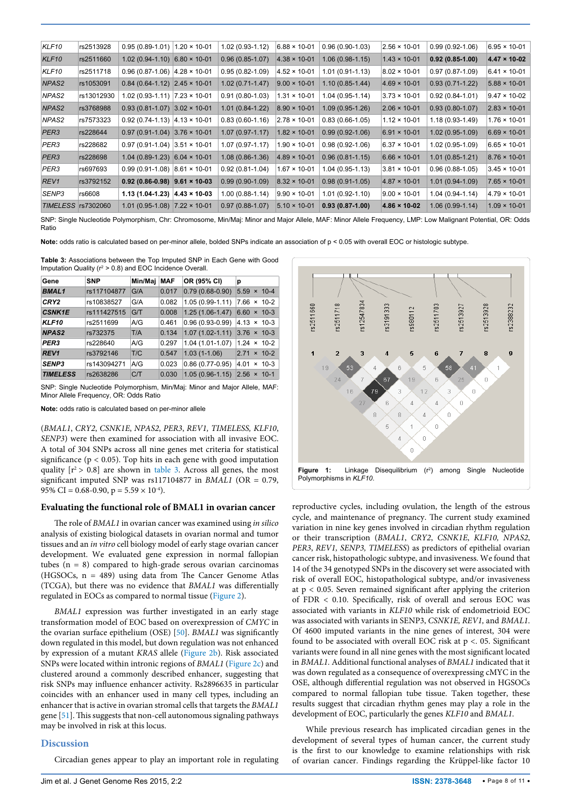| KLF <sub>10</sub>  | rs2513928  | $0.95(0.89 - 1.01)$                    | $1.20 \times 10 - 01$ | $1.02(0.93 - 1.12)$ | $6.88 \times 10 - 01$ | $0.96(0.90-1.03)$   | $2.56 \times 10 - 01$ | $0.99(0.92 - 1.06)$ | $6.95 \times 10 - 01$ |
|--------------------|------------|----------------------------------------|-----------------------|---------------------|-----------------------|---------------------|-----------------------|---------------------|-----------------------|
| KLF <sub>10</sub>  | rs2511660  | $1.02$ (0.94-1.10) 6.80 $\times$ 10-01 |                       | $0.96(0.85-1.07)$   | $4.38 \times 10 - 01$ | $1.06(0.98-1.15)$   | $1.43 \times 10 - 01$ | $0.92(0.85-1.00)$   | $4.47 \times 10 - 02$ |
| KLF10              | rs2511718  | $0.96(0.87-1.06)$ 4.28 × 10-01         |                       | $0.95(0.82 - 1.09)$ | $4.52 \times 10 - 01$ | $1.01(0.91 - 1.13)$ | $8.02 \times 10 - 01$ | $0.97(0.87-1.09)$   | $6.41 \times 10 - 01$ |
| NPAS <sub>2</sub>  | rs1053091  | $0.84(0.64-1.12)$ 2.45 × 10-01         |                       | $1.02(0.71-1.47)$   | $9.00 \times 10 - 01$ | $1.10(0.85-1.44)$   | $4.69 \times 10 - 01$ | $0.93(0.71-1.22)$   | $5.88 \times 10 - 01$ |
| NPAS2              | rs13012930 | 1.02 (0.93-1.11) 7.23 × 10-01          |                       | $0.91(0.80-1.03)$   | $1.31 \times 10 - 01$ | $1.04(0.95-1.14)$   | $3.73 \times 10 - 01$ | $0.92(0.84 - 1.01)$ | $9.47 \times 10 - 02$ |
| NPAS <sub>2</sub>  | rs3768988  | $0.93(0.81-1.07)$ 3.02 × 10-01         |                       | $1.01(0.84-1.22)$   | $8.90 \times 10 - 01$ | $1.09(0.95-1.26)$   | $2.06 \times 10 - 01$ | $0.93(0.80-1.07)$   | $2.83 \times 10 - 01$ |
| NPAS2              | rs7573323  | $0.92(0.74-1.13)$ 4.13 × 10-01         |                       | $0.83(0.60-1.16)$   | $2.78 \times 10 - 01$ | $0.83(0.66-1.05)$   | $1.12 \times 10 - 01$ | 1.18 (0.93-1.49)    | $1.76 \times 10 - 01$ |
| PER <sub>3</sub>   | rs228644   | $0.97(0.91-1.04)$ 3.76 × 10-01         |                       | $1.07(0.97-1.17)$   | $1.82 \times 10 - 01$ | $0.99(0.92-1.06)$   | $6.91 \times 10 - 01$ | 1.02 (0.95-1.09)    | $6.69 \times 10 - 01$ |
| PER3               | rs228682   | $0.97(0.91-1.04)$ 3.51 × 10-01         |                       | $1.07(0.97 - 1.17)$ | $1.90 \times 10 - 01$ | $0.98(0.92 - 1.06)$ | $6.37 \times 10 - 01$ | 1.02 (0.95-1.09)    | $6.65 \times 10 - 01$ |
| PER <sub>3</sub>   | rs228698   | $1.04$ (0.89-1.23) 6.04 $\times$ 10-01 |                       | $1.08(0.86-1.36)$   | $4.89 \times 10 - 01$ | $0.96(0.81-1.15)$   | $6.66 \times 10 - 01$ | 1.01 (0.85-1.21)    | $8.76 \times 10 - 01$ |
| PER3               | rs697693   | $0.99(0.91-1.08)$ 8.61 × 10-01         |                       | $0.92(0.81 - 1.04)$ | $1.67 \times 10 - 01$ | $1.04(0.95-1.13)$   | $3.81 \times 10 - 01$ | $0.96(0.88-1.05)$   | $3.45 \times 10 - 01$ |
| REV <sub>1</sub>   | rs3792152  | $0.92(0.86-0.98)$ 9.61 × 10-03         |                       | $0.99(0.90-1.09)$   | $8.32 \times 10 - 01$ | $0.98(0.91-1.05)$   | $4.87 \times 10 - 01$ | 1.01 (0.94-1.09)    | $7.65 \times 10 - 01$ |
| SENP3              | rs6608     | 1.13 (1.04-1.23)                       | $ 4.43 \times 10.03 $ | $1.00(0.88-1.14)$   | $9.90 \times 10 - 01$ | $1.01(0.92 - 1.10)$ | $9.00 \times 10 - 01$ | $1.04(0.94-1.14)$   | $4.79 \times 10 - 01$ |
| TIMELESS rs7302060 |            | $1.01(0.95-1.08)$ 7.22 × 10-01         |                       | $0.97(0.88-1.07)$   | $5.10 \times 10 - 01$ | $0.93(0.87-1.00)$   | $4.86 \times 10 - 02$ | 1.06 (0.99-1.14)    | $1.09 \times 10 - 01$ |

SNP: Single Nucleotide Polymorphism, Chr: Chromosome, Min/Maj: Minor and Major Allele, MAF: Minor Allele Frequency, LMP: Low Malignant Potential, OR: Odds Ratio

Note: odds ratio is calculated based on per-minor allele, bolded SNPs indicate an association of p < 0.05 with overall EOC or histologic subtype.

<span id="page-7-1"></span>**Table 3:** Associations between the Top Imputed SNP in Each Gene with Good Imputation Quality ( $r^2 > 0.8$ ) and EOC Incidence Overall.

| Gene              | <b>SNP</b>  | Min/Maj | <b>MAF</b> | OR (95% CI)         | р                                           |
|-------------------|-------------|---------|------------|---------------------|---------------------------------------------|
| <b>BMAL1</b>      | rs117104877 | G/A     | 0.017      | $0.79(0.68-0.90)$   | 5.59<br>$× 10-4$                            |
| CRY2              | rs10838527  | G/A     | 0.082      | $1.05(0.99-1.11)$   | 7.66<br>$\times$ 10-2                       |
| <b>CSNK1E</b>     | rs111427515 | G/T     | 0.008      | $1.25(1.06-1.47)$   | 6.60<br>$\times$ 10-3                       |
| <b>KLF10</b>      | rs2511699   | A/G     | 0.461      | $0.96(0.93-0.99)$   | $4.13 \times 10-3$                          |
| NPAS <sub>2</sub> | rs732375    | T/A     | 0.134      | $1.07(1.02 - 1.11)$ | $3.76 \times 10-3$                          |
| PER3              | rs228640    | A/G     | 0.297      | $1.04(1.01-1.07)$   | $1.24 \times 10-2$                          |
| REV <sub>1</sub>  | rs3792146   | T/C     | 0.547      | $1.03(1-1.06)$      | 2.71<br>$× 10-2$                            |
| <b>SENP3</b>      | rs143094271 | A/G     | 0.023      | $0.86(0.77-0.95)$   | $\times$ 10-3<br>4.01                       |
| <b>TIMELESS</b>   | rs2638286   | C/T     | 0.030      | $1.05(0.96-1.15)$   | 2.56<br>$10-1$<br>$\boldsymbol{\mathsf{x}}$ |

SNP: Single Nucleotide Polymorphism, Min/Maj: Minor and Major Allele, MAF: Minor Allele Frequency, OR: Odds Ratio

**Note:** odds ratio is calculated based on per-minor allele

(*BMAL1*, *CRY2*, *CSNK1E*, *NPAS2*, *PER3*, *REV1, TIMELESS, KLF10*, *SENP3*) were then examined for association with all invasive EOC. A total of 304 SNPs across all nine genes met criteria for statistical significance ( $p < 0.05$ ). Top hits in each gene with good imputation quality  $[r^2 > 0.8]$  are shown in [table 3](#page-7-1). Across all genes, the most significant imputed SNP was rs117104877 in *BMAL1* (OR = 0.79, 95% CI = 0.68-0.90,  $p = 5.59 \times 10^{-4}$ .

#### **Evaluating the functional role of BMAL1 in ovarian cancer**

The role of *BMAL1* in ovarian cancer was examined using *in silico* analysis of existing biological datasets in ovarian normal and tumor tissues and an *in vitro* cell biology model of early stage ovarian cancer development. We evaluated gene expression in normal fallopian tubes  $(n = 8)$  compared to high-grade serous ovarian carcinomas (HGSOCs, n = 489) using data from The Cancer Genome Atlas (TCGA), but there was no evidence that *BMAL1* was differentially regulated in EOCs as compared to normal tissue ([Figure 2\)](#page-8-0).

*BMAL1* expression was further investigated in an early stage transformation model of EOC based on overexpression of *CMYC* in the ovarian surface epithelium (OSE) [[50](#page-10-9)]. *BMAL1* was significantly down regulated in this model, but down regulation was not enhanced by expression of a mutant *KRAS* allele ([Figure 2b\)](#page-8-0). Risk associated SNPs were located within intronic regions of *BMAL1* [\(Figure 2c\)](#page-8-0) and clustered around a commonly described enhancer, suggesting that risk SNPs may influence enhancer activity. Rs2896635 in particular coincides with an enhancer used in many cell types, including an enhancer that is active in ovarian stromal cells that targets the *BMAL1* gene [\[51\]](#page-10-10). This suggests that non-cell autonomous signaling pathways may be involved in risk at this locus.

#### **Discussion**

Circadian genes appear to play an important role in regulating

<span id="page-7-0"></span>

reproductive cycles, including ovulation, the length of the estrous cycle, and maintenance of pregnancy. The current study examined variation in nine key genes involved in circadian rhythm regulation or their transcription (*BMAL1*, *CRY2*, *CSNK1E*, *KLF10, NPAS2*, *PER3*, *REV1, SENP3, TIMELESS*) as predictors of epithelial ovarian cancer risk, histopathologic subtype, and invasiveness. We found that 14 of the 34 genotyped SNPs in the discovery set were associated with risk of overall EOC, histopathological subtype, and/or invasiveness at  $p < 0.05$ . Seven remained significant after applying the criterion of FDR < 0.10. Specifically, risk of overall and serous EOC was associated with variants in *KLF10* while risk of endometrioid EOC was associated with variants in SENP3, *CSNK1E, REV1,* and *BMAL1*. Of 4600 imputed variants in the nine genes of interest, 304 were found to be associated with overall EOC risk at p <. 05. Significant variants were found in all nine genes with the most significant located in *BMAL1.* Additional functional analyses of *BMAL1* indicated that it was down regulated as a consequence of overexpressing cMYC in the OSE, although differential regulation was not observed in HGSOCs compared to normal fallopian tube tissue. Taken together, these results suggest that circadian rhythm genes may play a role in the development of EOC, particularly the genes *KLF10* and *BMAL1*.

While previous research has implicated circadian genes in the development of several types of human cancer, the current study is the first to our knowledge to examine relationships with risk of ovarian cancer. Findings regarding the Krüppel-like factor 10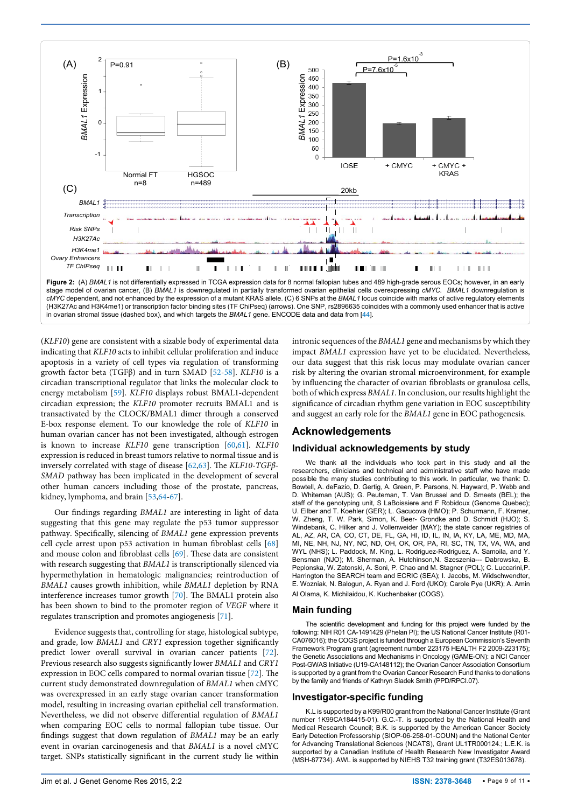<span id="page-8-0"></span>

(*KLF10*) gene are consistent with a sizable body of experimental data indicating that *KLF10* acts to inhibit cellular proliferation and induce apoptosis in a variety of cell types via regulation of transforming growth factor beta (TGFβ) and in turn SMAD [[52-](#page-10-11)[58](#page-10-12)]. *KLF10* is a circadian transcriptional regulator that links the molecular clock to energy metabolism [\[59\]](#page-10-13). *KLF10* displays robust BMAL1-dependent circadian expression; the *KLF10* promoter recruits BMAL1 and is transactivated by the CLOCK/BMAL1 dimer through a conserved E-box response element. To our knowledge the role of *KLF10* in human ovarian cancer has not been investigated, although estrogen is known to increase *KLF10* gene transcription [[60,](#page-10-14)[61](#page-10-15)]. *KLF10* expression is reduced in breast tumors relative to normal tissue and is inversely correlated with stage of disease [\[62,](#page-10-16)[63\]](#page-10-17). The *KLF10*-*TGFβ*-*SMAD* pathway has been implicated in the development of several other human cancers including those of the prostate, pancreas, kidney, lymphoma, and brain [\[53](#page-10-18)[,64-](#page-10-19)[67\]](#page-10-20).

Our findings regarding *BMAL1* are interesting in light of data suggesting that this gene may regulate the p53 tumor suppressor pathway. Specifically, silencing of *BMAL1* gene expression prevents cell cycle arrest upon p53 activation in human fibroblast cells [[68](#page-10-21)] and mouse colon and fibroblast cells [\[69](#page-10-22)]. These data are consistent with research suggesting that *BMAL1* is transcriptionally silenced via hypermethylation in hematologic malignancies; reintroduction of *BMAL1* causes growth inhibition, while *BMAL1* depletion by RNA interference increases tumor growth [\[70\]](#page-10-23). The BMAL1 protein also has been shown to bind to the promoter region of *VEGF* where it regulates transcription and promotes angiogenesis [\[71\]](#page-10-24).

Evidence suggests that, controlling for stage, histological subtype, and grade, low *BMAL1* and *CRY1* expression together significantly predict lower overall survival in ovarian cancer patients [[72](#page-10-25)]. Previous research also suggests significantly lower *BMAL1* and *CRY1* expression in EOC cells compared to normal ovarian tissue [\[72\]](#page-10-25). The current study demonstrated downregulation of *BMAL1* when cMYC was overexpressed in an early stage ovarian cancer transformation model, resulting in increasing ovarian epithelial cell transformation. Nevertheless, we did not observe differential regulation of *BMAL1*  when comparing EOC cells to normal fallopian tube tissue. Our findings suggest that down regulation of *BMAL1* may be an early event in ovarian carcinogenesis and that *BMAL1* is a novel cMYC target. SNPs statistically significant in the current study lie within

intronic sequences of the *BMAL1* gene and mechanisms by which they impact *BMAL1* expression have yet to be elucidated. Nevertheless, our data suggest that this risk locus may modulate ovarian cancer risk by altering the ovarian stromal microenvironment, for example by influencing the character of ovarian fibroblasts or granulosa cells, both of which express *BMAL1*. In conclusion, our results highlight the significance of circadian rhythm gene variation in EOC susceptibility and suggest an early role for the *BMAL1* gene in EOC pathogenesis.

# **Acknowledgements**

#### **Individual acknowledgements by study**

We thank all the individuals who took part in this study and all the researchers, clinicians and technical and administrative staff who have made possible the many studies contributing to this work. In particular, we thank: D. Bowtell, A. deFazio, D. Gertig, A. Green, P. Parsons, N. Hayward, P. Webb and D. Whiteman (AUS); G. Peuteman, T. Van Brussel and D. Smeets (BEL); the staff of the genotyping unit, S LaBoissiere and F Robidoux (Genome Quebec); U. Eilber and T. Koehler (GER); L. Gacucova (HMO); P. Schurmann, F. Kramer, W. Zheng, T. W. Park, Simon, K. Beer- Grondke and D. Schmidt (HJO); S. Windebank, C. Hilker and J. Vollenweider (MAY); the state cancer registries of AL, AZ, AR, CA, CO, CT, DE, FL, GA, HI, ID, IL, IN, IA, KY, LA, ME, MD, MA, MI, NE, NH, NJ, NY, NC, ND, OH, OK, OR, PA, RI, SC, TN, TX, VA, WA, and WYL (NHS); L. Paddock, M. King, L. Rodriguez-Rodriguez, A. Samoila, and Y. Bensman (NJO); M. Sherman, A. Hutchinson,N. Szeszenia--- Dabrowska, B. Peplonska, W. Zatonski, A. Soni, P. Chao and M. Stagner (POL); C. Luccarini,P. Harrington the SEARCH team and ECRIC (SEA); I. Jacobs, M. Widschwendter, E. Wozniak, N. Balogun, A. Ryan and J. Ford (UKO); Carole Pye (UKR); A. Amin Al Olama, K. Michilaidou, K. Kuchenbaker (COGS).

#### **Main funding**

The scientific development and funding for this project were funded by the following: NIH R01 CA-1491429 (Phelan PI); the US National Cancer Institute (R01- CA076016); the COGS project is funded through a European Commission's Seventh Framework Program grant (agreement number 223175 HEALTH F2 2009-223175); the Genetic Associations and Mechanisms in Oncology (GAME-ON): a NCI Cancer Post-GWAS Initiative (U19-CA148112); the Ovarian Cancer Association Consortium is supported by a grant from the Ovarian Cancer Research Fund thanks to donations by the family and friends of Kathryn Sladek Smith (PPD/RPCI.07).

#### **Investigator-specific funding**

K.L is supported by a K99/R00 grant from the National Cancer Institute (Grant number 1K99CA184415-01). G.C.-T. is supported by the National Health and Medical Research Council; B.K. is supported by the American Cancer Society Early Detection Professorship (SIOP-06-258-01-COUN) and the National Center for Advancing Translational Sciences (NCATS), Grant UL1TR000124.; L.E.K. is supported by a Canadian Institute of Health Research New Investigator Award (MSH-87734). AWL is supported by NIEHS T32 training grant (T32ES013678).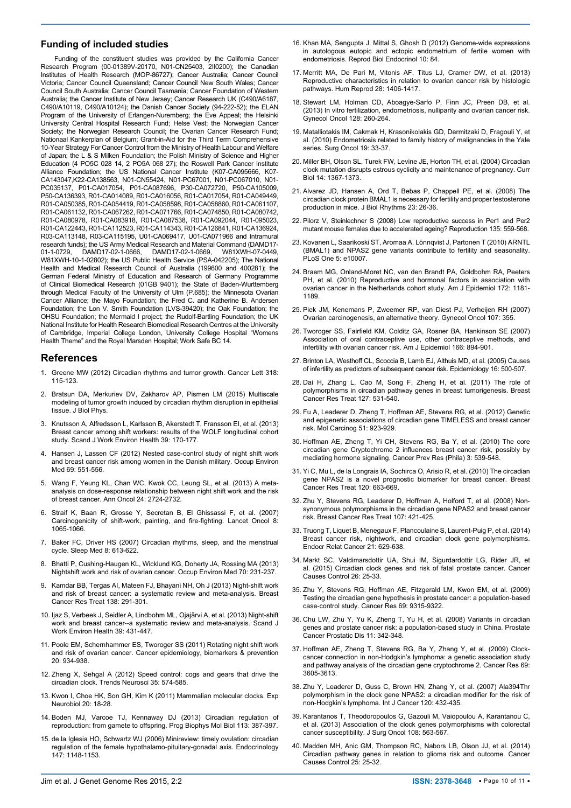#### **Funding of included studies**

Funding of the constituent studies was provided by the California Cancer Research Program (00-01389V-20170, N01-CN25403, 2II0200); the Canadian Institutes of Health Research (MOP-86727); Cancer Australia; Cancer Council Victoria; Cancer Council Queensland; Cancer Council New South Wales; Cancer Council South Australia; Cancer Council Tasmania; Cancer Foundation of Western Australia; the Cancer Institute of New Jersey; Cancer Research UK (C490/A6187, C490/A10119, C490/A10124); the Danish Cancer Society (94-222-52); the ELAN Program of the University of Erlangen-Nuremberg; the Eve Appeal; the Helsinki University Central Hospital Research Fund; Helse Vest; the Norwegian Cancer Society; the Norwegian Research Council; the Ovarian Cancer Research Fund; Nationaal Kankerplan of Belgium; Grant-in-Aid for the Third Term Comprehensive 10-Year Strategy For Cancer Control from the Ministry of Health Labour and Welfare of Japan; the L & S Milken Foundation; the Polish Ministry of Science and Higher Education (4 PO5C 028 14, 2 PO5A 068 27); the Roswell Park Cancer Institute Alliance Foundation; the US National Cancer Institute (K07-CA095666, K07- CA143047,K22-CA138563, N01-CN55424, N01-PC67001, N01-PC067010, N01- PC035137, P01-CA017054, P01-CA087696, P30-CA072720, P50-CA105009, P50-CA136393, R01-CA014089, R01-CA016056, R01-CA017054, R01-CA049449, R01-CA050385, R01-CA054419, R01-CA058598, R01-CA058860, R01-CA061107, R01-CA061132, R01-CA067262, R01-CA071766, R01-CA074850, R01-CA080742, R01-CA080978, R01-CA083918, R01-CA087538, R01-CA092044, R01-095023, R01-CA122443, R01-CA112523, R01-CA114343, R01-CA126841, R01-CA136924, R03-CA113148, R03-CA115195, U01-CA069417, U01-CA071966 and Intramural research funds); the US Army Medical Research and Material Command (DAMD17-<br>01-1-0729, DAMD17-02-1-0666, DAMD17-02-1-0669, W81XWH-07-0449, 01-1-0729, DAMD17-02-1-0666, DAMD17-02-1-0669, W81XWH-07-0449, W81XWH-10-1-02802); the US Public Health Service (PSA-042205); The National Health and Medical Research Council of Australia (199600 and 400281); the German Federal Ministry of Education and Research of Germany Programme of Clinical Biomedical Research (01GB 9401); the State of Baden-Wurttemberg through Medical Faculty of the University of Ulm (P.685); the Minnesota Ovarian Cancer Alliance; the Mayo Foundation; the Fred C. and Katherine B. Andersen Foundation; the Lon V. Smith Foundation (LVS-39420); the Oak Foundation; the OHSU Foundation; the Mermaid I project; the Rudolf-Bartling Foundation; the UK National Institute for Health Research Biomedical Research Centres at the University of Cambridge, Imperial College London, University College Hospital "Womens Health Theme" and the Royal Marsden Hospital; Work Safe BC 14.

## **References**

- <span id="page-9-0"></span>1. [Greene MW \(2012\) Circadian rhythms and tumor growth. Cancer Lett 318:](http://www.ncbi.nlm.nih.gov/pubmed/22252116)  [115-123.](http://www.ncbi.nlm.nih.gov/pubmed/22252116)
- <span id="page-9-1"></span>2. [Bratsun DA, Merkuriev DV, Zakharov AP, Pismen LM \(2015\) Multiscale](http://www.ncbi.nlm.nih.gov/pubmed/26293211)  [modeling of tumor growth induced by circadian rhythm disruption in epithelial](http://www.ncbi.nlm.nih.gov/pubmed/26293211)  [tissue. J Biol Phys.](http://www.ncbi.nlm.nih.gov/pubmed/26293211)
- 3. [Knutsson A, Alfredsson L, Karlsson B, Akerstedt T, Fransson EI, et al. \(2013\)](http://www.ncbi.nlm.nih.gov/pubmed/23007867)  [Breast cancer among shift workers: results of the WOLF longitudinal cohort](http://www.ncbi.nlm.nih.gov/pubmed/23007867)  [study. Scand J Work Environ Health 39: 170-177.](http://www.ncbi.nlm.nih.gov/pubmed/23007867)
- 4. [Hansen J, Lassen CF \(2012\) Nested case-control study of night shift work](http://www.ncbi.nlm.nih.gov/pubmed/22645325)  [and breast cancer risk among women in the Danish military. Occup Environ](http://www.ncbi.nlm.nih.gov/pubmed/22645325)  [Med 69: 551-556.](http://www.ncbi.nlm.nih.gov/pubmed/22645325)
- <span id="page-9-2"></span>5. [Wang F, Yeung KL, Chan WC, Kwok CC, Leung SL, et al. \(2013\) A meta](http://www.ncbi.nlm.nih.gov/pubmed/23975662)[analysis on dose-response relationship between night shift work and the risk](http://www.ncbi.nlm.nih.gov/pubmed/23975662)  [of breast cancer. Ann Oncol 24: 2724-2732.](http://www.ncbi.nlm.nih.gov/pubmed/23975662)
- <span id="page-9-3"></span>6. [Straif K, Baan R, Grosse Y, Secretan B, El Ghissassi F, et al. \(2007\)](http://www.ncbi.nlm.nih.gov/pubmed/19271347)  [Carcinogenicity of shift-work, painting, and fire-fighting. Lancet Oncol 8:](http://www.ncbi.nlm.nih.gov/pubmed/19271347)  [1065-1066.](http://www.ncbi.nlm.nih.gov/pubmed/19271347)
- <span id="page-9-4"></span>7. [Baker FC, Driver HS \(2007\) Circadian rhythms, sleep, and the menstrual](http://www.ncbi.nlm.nih.gov/pubmed/17383933)  [cycle. Sleep Med 8: 613-622.](http://www.ncbi.nlm.nih.gov/pubmed/17383933)
- <span id="page-9-5"></span>8. [Bhatti P, Cushing-Haugen KL, Wicklund KG, Doherty JA, Rossing MA \(2013\)](http://www.ncbi.nlm.nih.gov/pubmed/23343856)  [Nightshift work and risk of ovarian cancer. Occup Environ Med 70: 231-237.](http://www.ncbi.nlm.nih.gov/pubmed/23343856)
- <span id="page-9-6"></span>9. [Kamdar BB, Tergas AI, Mateen FJ, Bhayani NH, Oh J \(2013\) Night-shift work](http://www.ncbi.nlm.nih.gov/pubmed/23400581)  [and risk of breast cancer: a systematic review and meta-analysis. Breast](http://www.ncbi.nlm.nih.gov/pubmed/23400581)  [Cancer Res Treat 138: 291-301.](http://www.ncbi.nlm.nih.gov/pubmed/23400581)
- 10. [Ijaz S, Verbeek J, Seidler A, Lindbohm ML, Ojajärvi A, et al. \(2013\) Night-shift](http://www.ncbi.nlm.nih.gov/pubmed/23804277)  [work and breast cancer--a systematic review and meta-analysis. Scand J](http://www.ncbi.nlm.nih.gov/pubmed/23804277)  [Work Environ Health 39: 431-447.](http://www.ncbi.nlm.nih.gov/pubmed/23804277)
- <span id="page-9-7"></span>11. [Poole EM, Schernhammer ES, Tworoger SS \(2011\) Rotating night shift work](http://cebp.aacrjournals.org/content/20/5/934.full)  [and risk of ovarian cancer. Cancer epidemiology, biomarkers & prevention](http://cebp.aacrjournals.org/content/20/5/934.full)  [20: 934-938.](http://cebp.aacrjournals.org/content/20/5/934.full)
- <span id="page-9-8"></span>12. [Zheng X, Sehgal A \(2012\) Speed control: cogs and gears that drive the](http://www.ncbi.nlm.nih.gov/pubmed/22748426)  [circadian clock. Trends Neurosci 35: 574-585.](http://www.ncbi.nlm.nih.gov/pubmed/22748426)
- <span id="page-9-9"></span>13. [Kwon I, Choe HK, Son GH, Kim K \(2011\) Mammalian molecular clocks. Exp](http://www.ncbi.nlm.nih.gov/pubmed/22110358)  [Neurobiol 20: 18-28.](http://www.ncbi.nlm.nih.gov/pubmed/22110358)
- <span id="page-9-10"></span>14. [Boden MJ, Varcoe TJ, Kennaway DJ \(2013\) Circadian regulation of](http://www.ncbi.nlm.nih.gov/pubmed/23380455)  [reproduction: from gamete to offspring. Prog Biophys Mol Biol 113: 387-397.](http://www.ncbi.nlm.nih.gov/pubmed/23380455)
- <span id="page-9-11"></span>15. [de la Iglesia HO, Schwartz WJ \(2006\) Minireview: timely ovulation: circadian](http://www.ncbi.nlm.nih.gov/pubmed/16373412)  [regulation of the female hypothalamo-pituitary-gonadal axis. Endocrinology](http://www.ncbi.nlm.nih.gov/pubmed/16373412)  [147: 1148-1153.](http://www.ncbi.nlm.nih.gov/pubmed/16373412)
- <span id="page-9-12"></span>16. [Khan MA, Sengupta J, Mittal S, Ghosh D \(2012\) Genome-wide expressions](http://www.ncbi.nlm.nih.gov/pubmed/23006437)  [in autologous eutopic and ectopic endometrium of fertile women with](http://www.ncbi.nlm.nih.gov/pubmed/23006437)  [endometriosis. Reprod Biol Endocrinol 10: 84.](http://www.ncbi.nlm.nih.gov/pubmed/23006437)
- <span id="page-9-13"></span>17. [Merritt MA, De Pari M, Vitonis AF, Titus LJ, Cramer DW, et al. \(2013\)](http://www.ncbi.nlm.nih.gov/pubmed/23315066)  [Reproductive characteristics in relation to ovarian cancer risk by histologic](http://www.ncbi.nlm.nih.gov/pubmed/23315066)  [pathways. Hum Reprod 28: 1406-1417.](http://www.ncbi.nlm.nih.gov/pubmed/23315066)
- 18. [Stewart LM, Holman CD, Aboagye-Sarfo P, Finn JC, Preen DB, et al.](http://www.ncbi.nlm.nih.gov/pubmed/23116937)  [\(2013\) In vitro fertilization, endometriosis, nulliparity and ovarian cancer risk.](http://www.ncbi.nlm.nih.gov/pubmed/23116937)  [Gynecol Oncol 128: 260-264.](http://www.ncbi.nlm.nih.gov/pubmed/23116937)
- <span id="page-9-14"></span>19. [Matalliotakis IM, Cakmak H, Krasonikolakis GD, Dermitzaki D, Fragouli Y, et](http://www.ncbi.nlm.nih.gov/pubmed/19299121)  [al. \(2010\) Endometriosis related to family history of malignancies in the Yale](http://www.ncbi.nlm.nih.gov/pubmed/19299121)  [series. Surg Oncol 19: 33-37.](http://www.ncbi.nlm.nih.gov/pubmed/19299121)
- <span id="page-9-15"></span>20. [Miller BH, Olson SL, Turek FW, Levine JE, Horton TH, et al. \(2004\) Circadian](http://www.ncbi.nlm.nih.gov/pubmed/15296754)  [clock mutation disrupts estrous cyclicity and maintenance of pregnancy. Curr](http://www.ncbi.nlm.nih.gov/pubmed/15296754)  [Biol 14: 1367-1373.](http://www.ncbi.nlm.nih.gov/pubmed/15296754)
- 21. [Alvarez JD, Hansen A, Ord T, Bebas P, Chappell PE, et al. \(2008\) The](http://www.ncbi.nlm.nih.gov/pubmed/18258755)  [circadian clock protein BMAL1 is necessary for fertility and proper testosterone](http://www.ncbi.nlm.nih.gov/pubmed/18258755)  [production in mice. J Biol Rhythms 23: 26-36.](http://www.ncbi.nlm.nih.gov/pubmed/18258755)
- <span id="page-9-16"></span>22. [Pilorz V, Steinlechner S \(2008\) Low reproductive success in Per1 and Per2](http://www.ncbi.nlm.nih.gov/pubmed/18367514)  [mutant mouse females due to accelerated ageing? Reproduction 135: 559-568.](http://www.ncbi.nlm.nih.gov/pubmed/18367514)
- <span id="page-9-17"></span>23. [Kovanen L, Saarikoski ST, Aromaa A, Lönnqvist J, Partonen T \(2010\) ARNTL](http://www.ncbi.nlm.nih.gov/pubmed/20368993)  [\(BMAL1\) and NPAS2 gene variants contribute to fertility and seasonality.](http://www.ncbi.nlm.nih.gov/pubmed/20368993)  [PLoS One 5: e10007.](http://www.ncbi.nlm.nih.gov/pubmed/20368993)
- <span id="page-9-18"></span>24. [Braem MG, Onland-Moret NC, van den Brandt PA, Goldbohm RA, Peeters](http://www.ncbi.nlm.nih.gov/pubmed/20861144)  [PH, et al. \(2010\) Reproductive and hormonal factors in association with](http://www.ncbi.nlm.nih.gov/pubmed/20861144)  [ovarian cancer in the Netherlands cohort study. Am J Epidemiol 172: 1181-](http://www.ncbi.nlm.nih.gov/pubmed/20861144) [1189.](http://www.ncbi.nlm.nih.gov/pubmed/20861144)
- 25. [Piek JM, Kenemans P, Zweemer RP, van Diest PJ, Verheijen RH \(2007\)](http://www.ncbi.nlm.nih.gov/pubmed/17692366)  [Ovarian carcinogenesis, an alternative theory. Gynecol Oncol 107: 355.](http://www.ncbi.nlm.nih.gov/pubmed/17692366)
- 26. [Tworoger SS, Fairfield KM, Colditz GA, Rosner BA, Hankinson SE \(2007\)](http://www.ncbi.nlm.nih.gov/pubmed/17656616)  [Association of oral contraceptive use, other contraceptive methods, and](http://www.ncbi.nlm.nih.gov/pubmed/17656616)  [infertility with ovarian cancer risk. Am J Epidemiol 166: 894-901.](http://www.ncbi.nlm.nih.gov/pubmed/17656616)
- <span id="page-9-19"></span>27. [Brinton LA, Westhoff CL, Scoccia B, Lamb EJ, Althuis MD, et al. \(2005\) Causes](http://www.ncbi.nlm.nih.gov/pubmed/15951668)  [of infertility as predictors of subsequent cancer risk. Epidemiology 16: 500-507.](http://www.ncbi.nlm.nih.gov/pubmed/15951668)
- <span id="page-9-20"></span>28. [Dai H, Zhang L, Cao M, Song F, Zheng H, et al. \(2011\) The role of](http://www.ncbi.nlm.nih.gov/pubmed/20978934)  [polymorphisms in circadian pathway genes in breast tumorigenesis. Breast](http://www.ncbi.nlm.nih.gov/pubmed/20978934)  [Cancer Res Treat 127: 531-540.](http://www.ncbi.nlm.nih.gov/pubmed/20978934)
- 29. [Fu A, Leaderer D, Zheng T, Hoffman AE, Stevens RG, et al. \(2012\) Genetic](http://www.ncbi.nlm.nih.gov/pubmed/22006848)  [and epigenetic associations of circadian gene TIMELESS and breast cancer](http://www.ncbi.nlm.nih.gov/pubmed/22006848)  [risk. Mol Carcinog 51: 923-929.](http://www.ncbi.nlm.nih.gov/pubmed/22006848)
- 30. [Hoffman AE, Zheng T, Yi CH, Stevens RG, Ba Y, et al. \(2010\) The core](http://www.ncbi.nlm.nih.gov/pubmed/20233903)  [circadian gene Cryptochrome 2 influences breast cancer risk, possibly by](http://www.ncbi.nlm.nih.gov/pubmed/20233903)  [mediating hormone signaling. Cancer Prev Res \(Phila\) 3: 539-548.](http://www.ncbi.nlm.nih.gov/pubmed/20233903)
- 31. [Yi C, Mu L, de la Longrais IA, Sochirca O, Arisio R, et al. \(2010\) The circadian](http://www.ncbi.nlm.nih.gov/pubmed/19649706)  [gene NPAS2 is a novel prognostic biomarker for breast cancer. Breast](http://www.ncbi.nlm.nih.gov/pubmed/19649706)  [Cancer Res Treat 120: 663-669.](http://www.ncbi.nlm.nih.gov/pubmed/19649706)
- 32. [Zhu Y, Stevens RG, Leaderer D, Hoffman A, Holford T, et al. \(2008\) Non](http://www.ncbi.nlm.nih.gov/pubmed/17453337)[synonymous polymorphisms in the circadian gene NPAS2 and breast cancer](http://www.ncbi.nlm.nih.gov/pubmed/17453337)  [risk. Breast Cancer Res Treat 107: 421-425.](http://www.ncbi.nlm.nih.gov/pubmed/17453337)
- <span id="page-9-21"></span>33. [Truong T, Liquet B, Menegaux F, Plancoulaine S, Laurent-Puig P, et al. \(2014\)](http://www.ncbi.nlm.nih.gov/pubmed/24919398)  [Breast cancer risk, nightwork, and circadian clock gene polymorphisms.](http://www.ncbi.nlm.nih.gov/pubmed/24919398)  [Endocr Relat Cancer 21: 629-638.](http://www.ncbi.nlm.nih.gov/pubmed/24919398)
- <span id="page-9-22"></span>34. [Markt SC, Valdimarsdottir UA, Shui IM, Sigurdardottir LG, Rider JR, et](http://www.ncbi.nlm.nih.gov/pubmed/25388799)  [al. \(2015\) Circadian clock genes and risk of fatal prostate cancer. Cancer](http://www.ncbi.nlm.nih.gov/pubmed/25388799)  [Causes Control 26: 25-33.](http://www.ncbi.nlm.nih.gov/pubmed/25388799)
- 35. [Zhu Y, Stevens RG, Hoffman AE, Fitzgerald LM, Kwon EM, et al. \(2009\)](http://www.ncbi.nlm.nih.gov/pubmed/19934327)  [Testing the circadian gene hypothesis in prostate cancer: a population-based](http://www.ncbi.nlm.nih.gov/pubmed/19934327)  [case-control study. Cancer Res 69: 9315-9322.](http://www.ncbi.nlm.nih.gov/pubmed/19934327)
- <span id="page-9-23"></span>36. [Chu LW, Zhu Y, Yu K, Zheng T, Yu H, et al. \(2008\) Variants in circadian](http://www.ncbi.nlm.nih.gov/pubmed/17984998)  [genes and prostate cancer risk: a population-based study in China. Prostate](http://www.ncbi.nlm.nih.gov/pubmed/17984998)  [Cancer Prostatic Dis 11: 342-348.](http://www.ncbi.nlm.nih.gov/pubmed/17984998)
- <span id="page-9-24"></span>37. [Hoffman AE, Zheng T, Stevens RG, Ba Y, Zhang Y, et al. \(2009\) Clock](http://www.ncbi.nlm.nih.gov/pubmed/19318546)[cancer connection in non-Hodgkin's lymphoma: a genetic association study](http://www.ncbi.nlm.nih.gov/pubmed/19318546)  [and pathway analysis of the circadian gene cryptochrome 2. Cancer Res 69:](http://www.ncbi.nlm.nih.gov/pubmed/19318546)  [3605-3613.](http://www.ncbi.nlm.nih.gov/pubmed/19318546)
- <span id="page-9-25"></span>38. [Zhu Y, Leaderer D, Guss C, Brown HN, Zhang Y, et al. \(2007\) Ala394Thr](http://www.ncbi.nlm.nih.gov/pubmed/17096334)  [polymorphism in the clock gene NPAS2: a circadian modifier for the risk of](http://www.ncbi.nlm.nih.gov/pubmed/17096334)  [non-Hodgkin's lymphoma. Int J Cancer 120: 432-435.](http://www.ncbi.nlm.nih.gov/pubmed/17096334)
- <span id="page-9-26"></span>39. [Karantanos T, Theodoropoulos G, Gazouli M, Vaiopoulou A, Karantanou C,](http://www.ncbi.nlm.nih.gov/pubmed/24037774)  [et al. \(2013\) Association of the clock genes polymorphisms with colorectal](http://www.ncbi.nlm.nih.gov/pubmed/24037774)  [cancer susceptibility. J Surg Oncol 108: 563-567.](http://www.ncbi.nlm.nih.gov/pubmed/24037774)
- <span id="page-9-27"></span>40. [Madden MH, Anic GM, Thompson RC, Nabors LB, Olson JJ, et al. \(2014\)](http://www.ncbi.nlm.nih.gov/pubmed/24135790)  [Circadian pathway genes in relation to glioma risk and outcome. Cancer](http://www.ncbi.nlm.nih.gov/pubmed/24135790)  [Causes Control 25: 25-32.](http://www.ncbi.nlm.nih.gov/pubmed/24135790)